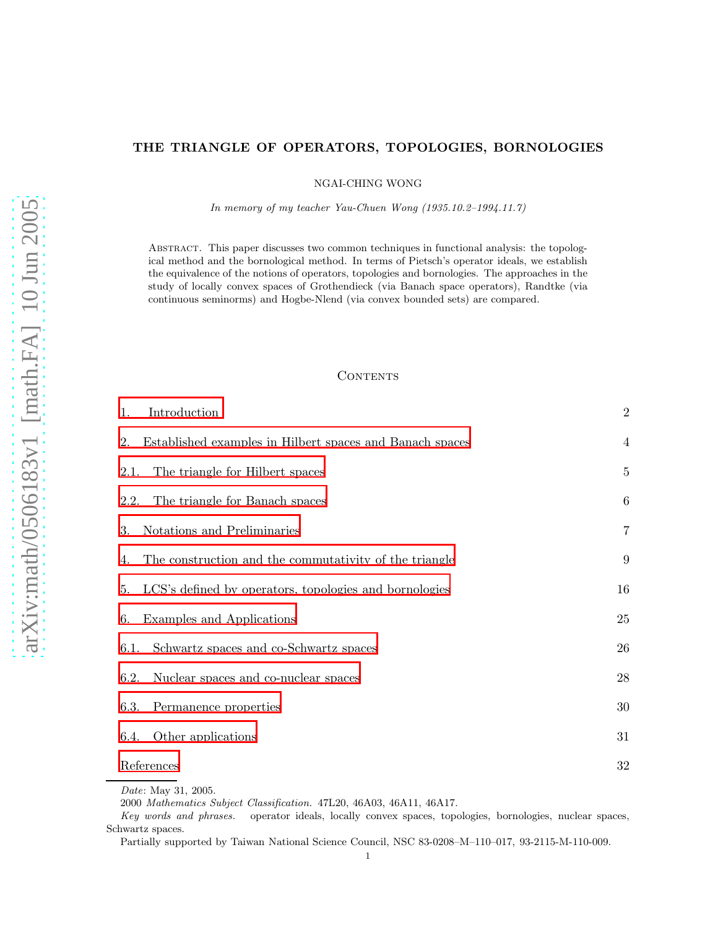# THE TRIANGLE OF OPERATORS, TOPOLOGIES, BORNOLOGIES

NGAI-CHING WONG

*In memory of my teacher Yau-Chuen Wong (1935.10.2–1994.11.7)*

Abstract. This paper discusses two common techniques in functional analysis: the topological method and the bornological method. In terms of Pietsch's operator ideals, we establish the equivalence of the notions of operators, topologies and bornologies. The approaches in the study of locally convex spaces of Grothendieck (via Banach space operators), Randtke (via continuous seminorms) and Hogbe-Nlend (via convex bounded sets) are compared.

## **CONTENTS**

| Introduction<br>1.                                             | $\overline{2}$   |
|----------------------------------------------------------------|------------------|
| Established examples in Hilbert spaces and Banach spaces<br>2. | $\overline{4}$   |
| The triangle for Hilbert spaces<br>2.1.                        | $\overline{5}$   |
| The triangle for Banach spaces<br>2.2.                         | $\,6\,$          |
| Notations and Preliminaries<br>3.                              | $\overline{7}$   |
| The construction and the commutativity of the triangle<br>4.   | $\boldsymbol{9}$ |
| LCS's defined by operators, topologies and bornologies<br>5.   | 16               |
| Examples and Applications<br>6.                                | $25\,$           |
| Schwartz spaces and co-Schwartz spaces<br>6.1.                 | 26               |
| Nuclear spaces and co-nuclear spaces<br>6.2.                   | ${\bf 28}$       |
| Permanence properties<br>6.3.                                  | 30               |
| Other applications<br>6.4.                                     | 31               |
| References                                                     | $32\,$           |
| <i>Date:</i> May 31, 2005.                                     |                  |

<sup>2000</sup> *Mathematics Subject Classification.* 47L20, 46A03, 46A11, 46A17.

*Key words and phrases.* operator ideals, locally convex spaces, topologies, bornologies, nuclear spaces, Schwartz spaces.

Partially supported by Taiwan National Science Council, NSC 83-0208–M–110–017, 93-2115-M-110-009.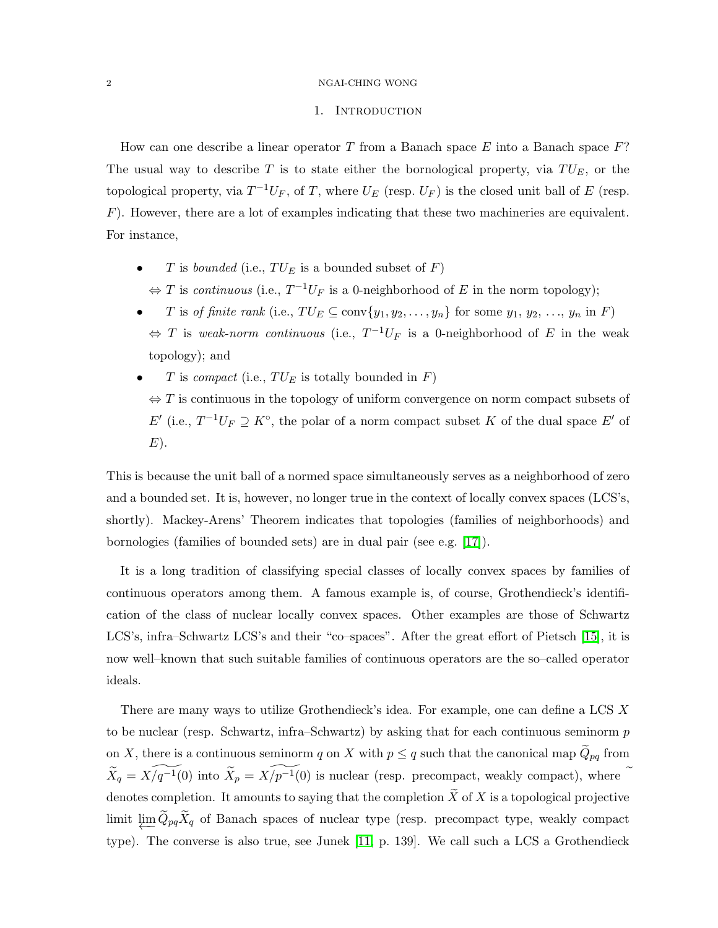#### <span id="page-1-0"></span>2 NGAI-CHING WONG

## 1. INTRODUCTION

How can one describe a linear operator  $T$  from a Banach space  $E$  into a Banach space  $F$ ? The usual way to describe  $T$  is to state either the bornological property, via  $TU_E$ , or the topological property, via  $T^{-1}U_F$ , of T, where  $U_E$  (resp.  $U_F$ ) is the closed unit ball of E (resp.  $F$ ). However, there are a lot of examples indicating that these two machineries are equivalent. For instance,

- T is *bounded* (i.e.,  $TU_E$  is a bounded subset of F)
	- $\Leftrightarrow$  T is *continuous* (i.e.,  $T^{-1}U_F$  is a 0-neighborhood of E in the norm topology);
- *T* is *of finite rank* (i.e.,  $TU_E \subseteq \text{conv}\{y_1, y_2, \ldots, y_n\}$  for some  $y_1, y_2, \ldots, y_n$  in *F*)  $\Leftrightarrow$  T is *weak-norm continuous* (i.e.,  $T^{-1}U_F$  is a 0-neighborhood of E in the weak topology); and
- $T$  is *compact* (i.e.,  $TU_E$  is totally bounded in  $F$ )  $\Leftrightarrow$  T is continuous in the topology of uniform convergence on norm compact subsets of  $E'$  (i.e.,  $T^{-1}U_F \supseteq K^{\circ}$ , the polar of a norm compact subset K of the dual space  $E'$  of  $E$ ).

This is because the unit ball of a normed space simultaneously serves as a neighborhood of zero and a bounded set. It is, however, no longer true in the context of locally convex spaces (LCS's, shortly). Mackey-Arens' Theorem indicates that topologies (families of neighborhoods) and bornologies (families of bounded sets) are in dual pair (see e.g. [\[17\]](#page-31-1)).

It is a long tradition of classifying special classes of locally convex spaces by families of continuous operators among them. A famous example is, of course, Grothendieck's identification of the class of nuclear locally convex spaces. Other examples are those of Schwartz LCS's, infra–Schwartz LCS's and their "co–spaces". After the great effort of Pietsch [\[15\]](#page-31-2), it is now well–known that such suitable families of continuous operators are the so–called operator ideals.

There are many ways to utilize Grothendieck's idea. For example, one can define a LCS X to be nuclear (resp. Schwartz, infra–Schwartz) by asking that for each continuous seminorm  $p$ on X, there is a continuous seminorm q on X with  $p \leq q$  such that the canonical map  $\widetilde{Q}_{pq}$  from  $\widetilde{X}_q = \widetilde{X/q^{-1}(0)}$  into  $\widetilde{X}_p = \widetilde{X/p^{-1}(0)}$  is nuclear (resp. precompact, weakly compact), where  $\widetilde{X}_q$ denotes completion. It amounts to saying that the completion  $\widetilde{X}$  of X is a topological projective limit  $\varprojlim Q_{pq}X_q$  of Banach spaces of nuclear type (resp. precompact type, weakly compact type). The converse is also true, see Junek [\[11,](#page-31-3) p. 139]. We call such a LCS a Grothendieck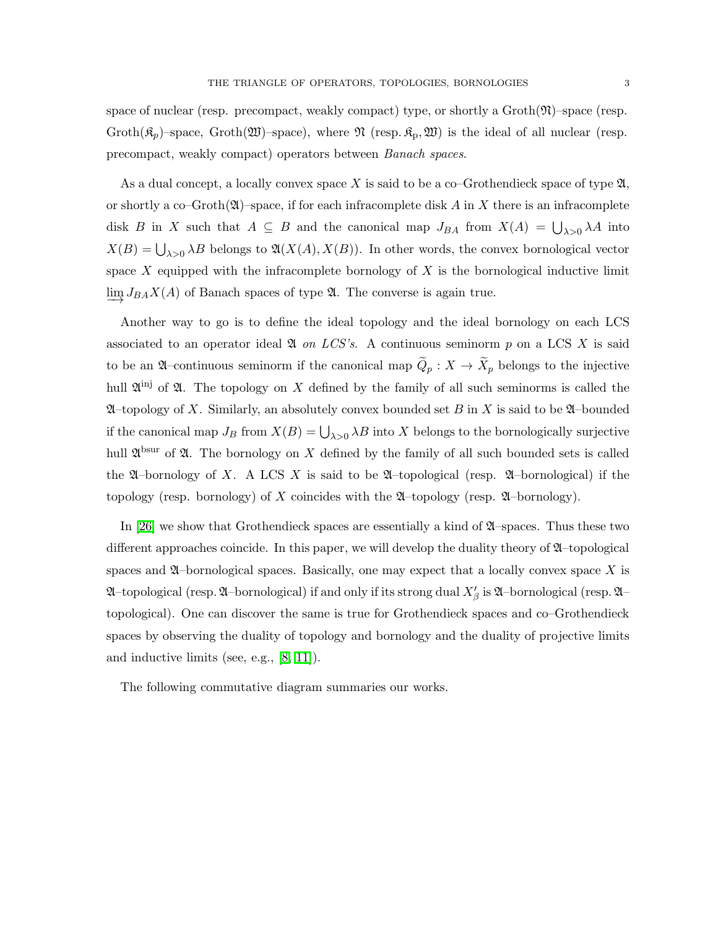As a dual concept, a locally convex space X is said to be a co–Grothendieck space of type  $\mathfrak{A}$ , or shortly a co–Groth $(\mathfrak{A})$ –space, if for each infracomplete disk A in X there is an infracomplete disk B in X such that  $A \subseteq B$  and the canonical map  $J_{BA}$  from  $X(A) = \bigcup_{\lambda>0} \lambda A$  into  $X(B) = \bigcup_{\lambda > 0} \lambda B$  belongs to  $\mathfrak{A}(X(A), X(B))$ . In other words, the convex bornological vector space  $X$  equipped with the infracomplete bornology of  $X$  is the bornological inductive limit  $\lim_{\longrightarrow} J_{BA}X(A)$  of Banach spaces of type  $\mathfrak{A}$ . The converse is again true.

Another way to go is to define the ideal topology and the ideal bornology on each LCS associated to an operator ideal  $\mathfrak A$  *on LCS's*. A continuous seminorm p on a LCS X is said to be an  $\mathfrak{A}$ –continuous seminorm if the canonical map  $\widetilde{Q}_p : X \to \widetilde{X}_p$  belongs to the injective hull  $\mathfrak{A}^{(n)}$  of  $\mathfrak{A}$ . The topology on X defined by the family of all such seminorms is called the  $\mathfrak{A}$ –topology of X. Similarly, an absolutely convex bounded set B in X is said to be  $\mathfrak{A}$ –bounded if the canonical map  $J_B$  from  $X(B) = \bigcup_{\lambda>0} \lambda B$  into X belongs to the bornologically surjective hull  $\mathfrak{A}^{\text{bsur}}$  of  $\mathfrak{A}$ . The bornology on X defined by the family of all such bounded sets is called the  $\mathfrak A$ –bornology of X. A LCS X is said to be  $\mathfrak A$ –topological (resp.  $\mathfrak A$ –bornological) if the topology (resp. bornology) of X coincides with the  $\mathfrak{A}$ –topology (resp.  $\mathfrak{A}$ –bornology).

In [\[26\]](#page-32-0) we show that Grothendieck spaces are essentially a kind of  $\mathfrak{A}$ –spaces. Thus these two different approaches coincide. In this paper, we will develop the duality theory of  $\mathfrak{A}-$ topological spaces and  $\mathfrak A$ –bornological spaces. Basically, one may expect that a locally convex space X is  $\mathfrak A$ –topological (resp.  $\mathfrak A$ –bornological) if and only if its strong dual  $X'_\beta$  is  $\mathfrak A$ –bornological (resp.  $\mathfrak A$ – topological). One can discover the same is true for Grothendieck spaces and co–Grothendieck spaces by observing the duality of topology and bornology and the duality of projective limits and inductive limits (see, e.g., [\[8,](#page-31-4) [11\]](#page-31-3)).

The following commutative diagram summaries our works.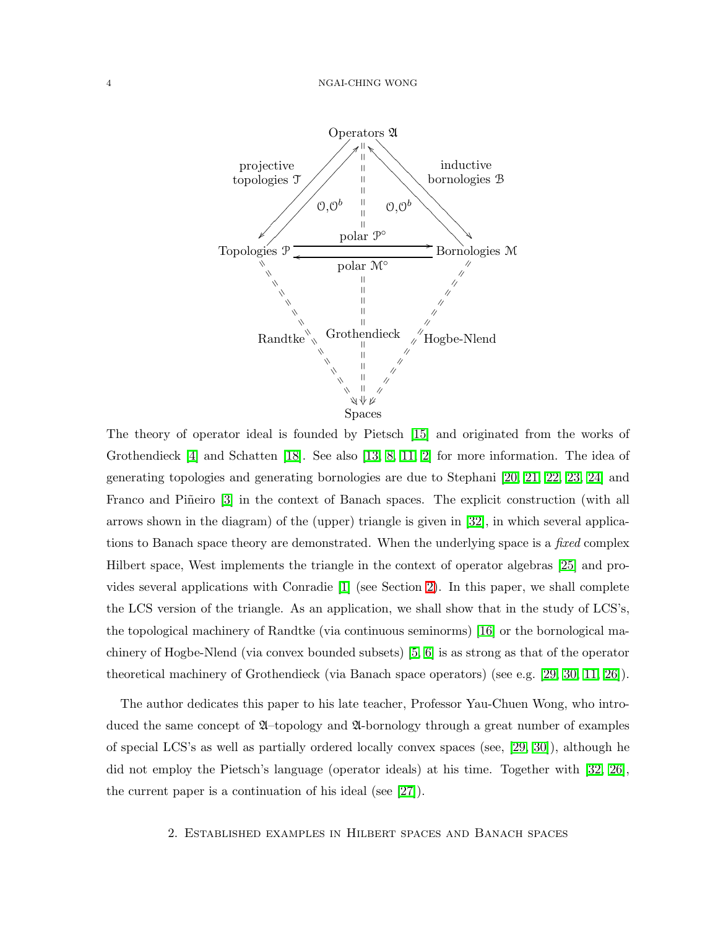

The theory of operator ideal is founded by Pietsch [\[15\]](#page-31-2) and originated from the works of Grothendieck [\[4\]](#page-31-5) and Schatten [\[18\]](#page-31-6). See also [\[13,](#page-31-7) [8,](#page-31-4) [11,](#page-31-3) [2\]](#page-31-8) for more information. The idea of generating topologies and generating bornologies are due to Stephani [\[20,](#page-32-1) [21,](#page-32-2) [22,](#page-32-3) [23,](#page-32-4) [24\]](#page-32-5) and Franco and Piñeiro [\[3\]](#page-31-9) in the context of Banach spaces. The explicit construction (with all arrows shown in the diagram) of the (upper) triangle is given in [\[32\]](#page-32-6), in which several applications to Banach space theory are demonstrated. When the underlying space is a *fixed* complex Hilbert space, West implements the triangle in the context of operator algebras [\[25\]](#page-32-7) and provides several applications with Conradie [\[1\]](#page-31-10) (see Section [2\)](#page-3-0). In this paper, we shall complete the LCS version of the triangle. As an application, we shall show that in the study of LCS's, the topological machinery of Randtke (via continuous seminorms) [\[16\]](#page-31-11) or the bornological machinery of Hogbe-Nlend (via convex bounded subsets) [\[5,](#page-31-12) [6\]](#page-31-13) is as strong as that of the operator theoretical machinery of Grothendieck (via Banach space operators) (see e.g. [\[29,](#page-32-8) [30,](#page-32-9) [11,](#page-31-3) [26\]](#page-32-0)).

<span id="page-3-0"></span>The author dedicates this paper to his late teacher, Professor Yau-Chuen Wong, who introduced the same concept of  $\mathfrak A$ -topology and  $\mathfrak A$ -bornology through a great number of examples of special LCS's as well as partially ordered locally convex spaces (see, [\[29,](#page-32-8) [30\]](#page-32-9)), although he did not employ the Pietsch's language (operator ideals) at his time. Together with [\[32,](#page-32-6) [26\]](#page-32-0), the current paper is a continuation of his ideal (see [\[27\]](#page-32-10)).

## <span id="page-3-1"></span>2. Established examples in Hilbert spaces and Banach spaces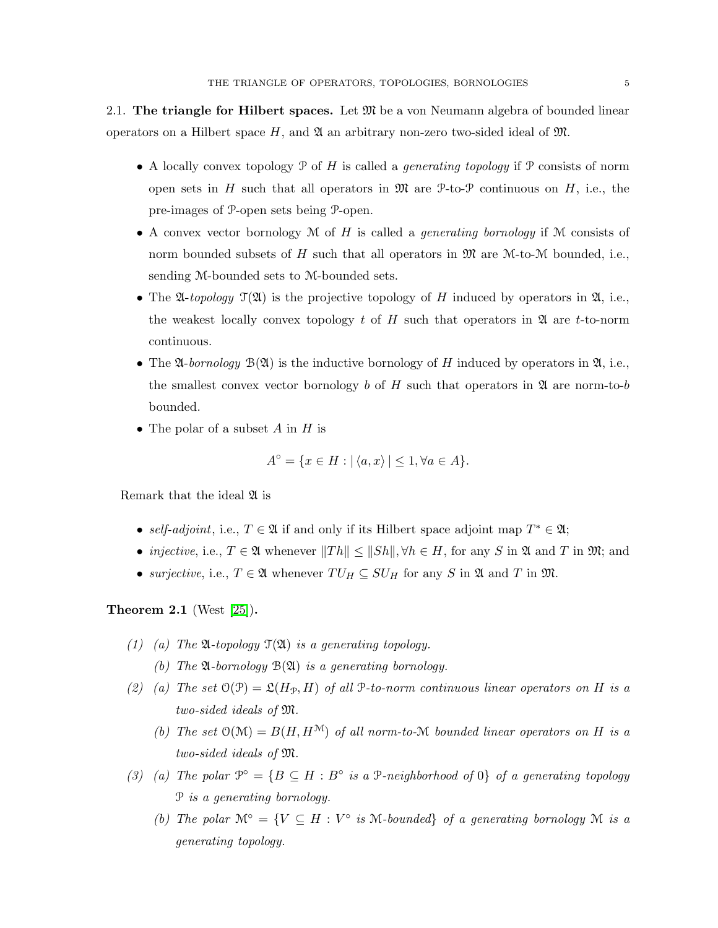2.1. The triangle for Hilbert spaces. Let  $\mathfrak{M}$  be a von Neumann algebra of bounded linear operators on a Hilbert space H, and  $\mathfrak A$  an arbitrary non-zero two-sided ideal of  $\mathfrak M$ .

- A locally convex topology P of H is called a *generating topology* if P consists of norm open sets in H such that all operators in  $\mathfrak{M}$  are P-to-P continuous on H, i.e., the pre-images of P-open sets being P-open.
- A convex vector bornology M of H is called a *generating bornology* if M consists of norm bounded subsets of H such that all operators in  $\mathfrak{M}$  are M-to-M bounded, i.e., sending M-bounded sets to M-bounded sets.
- The  $\mathfrak{A}$ -topology  $\mathfrak{T}(\mathfrak{A})$  is the projective topology of H induced by operators in  $\mathfrak{A}$ , i.e., the weakest locally convex topology t of H such that operators in  $\mathfrak A$  are t-to-norm continuous.
- The  $\mathfrak{A}$ -*bornology*  $\mathfrak{B}(\mathfrak{A})$  is the inductive bornology of H induced by operators in  $\mathfrak{A}$ , i.e., the smallest convex vector bornology b of H such that operators in  $\mathfrak A$  are norm-to-b bounded.
- The polar of a subset A in H is

$$
A^{\circ} = \{ x \in H : |\langle a, x \rangle| \le 1, \forall a \in A \}.
$$

Remark that the ideal  $\mathfrak A$  is

- *self-adjoint*, i.e.,  $T \in \mathfrak{A}$  if and only if its Hilbert space adjoint map  $T^* \in \mathfrak{A}$ ;
- *injective*, i.e.,  $T \in \mathfrak{A}$  whenever  $||Th|| \le ||Sh||$ ,  $\forall h \in H$ , for any S in  $\mathfrak{A}$  and T in  $\mathfrak{M}$ ; and
- *surjective*, i.e.,  $T \in \mathfrak{A}$  whenever  $TU_H \subseteq SU_H$  for any S in  $\mathfrak{A}$  and T in  $\mathfrak{M}$ .

Theorem 2.1 (West [\[25\]](#page-32-7)).

- *(1) (a) The* A*-topology* T(A) *is a generating topology.*
	- *(b) The* A*-bornology* B(A) *is a generating bornology.*
- (2) (a) The set  $O(\mathcal{P}) = \mathfrak{L}(H_{\mathcal{P}}, H)$  of all P-to-norm continuous linear operators on H is a *two-sided ideals of* M*.*
	- *(b)* The set  $O(\mathcal{M}) = B(H, H^{\mathcal{M}})$  of all norm-to-M bounded linear operators on H is a *two-sided ideals of* M*.*
- (3) (a) The polar  $\mathcal{P}^{\circ} = \{B \subseteq H : B^{\circ} \text{ is a } \mathcal{P}\text{-neighborhood of } 0\}$  of a generating topology P *is a generating bornology.*
	- *(b)* The polar  $\mathcal{M}^{\circ} = \{ V \subseteq H : V^{\circ} \text{ is M-bounded} \}$  of a generating bornology M *is a generating topology.*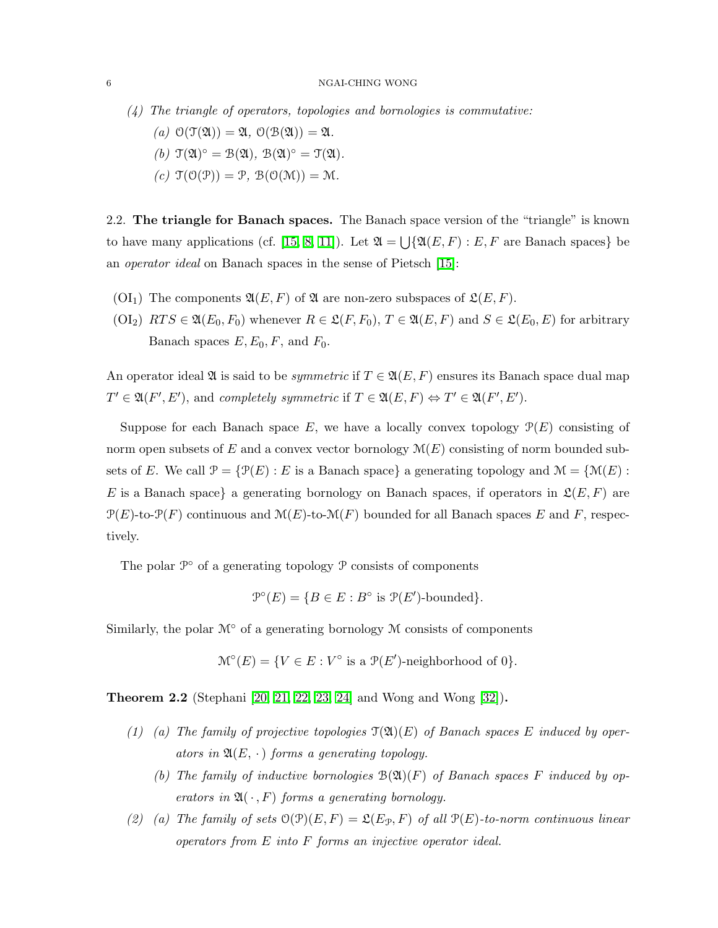- *(4) The triangle of operators, topologies and bornologies is commutative:*
	- $(a)$   $\mathcal{O}(\mathcal{T}(\mathfrak{A})) = \mathfrak{A}, \mathcal{O}(\mathcal{B}(\mathfrak{A})) = \mathfrak{A}.$  $(b)$   $\mathfrak{T}(\mathfrak{A})^{\circ} = \mathfrak{B}(\mathfrak{A}),$   $\mathfrak{B}(\mathfrak{A})^{\circ} = \mathfrak{T}(\mathfrak{A}).$  $(c)$   $\mathcal{T}(\mathcal{O}(\mathcal{P})) = \mathcal{P}$ ,  $\mathcal{B}(\mathcal{O}(\mathcal{M})) = \mathcal{M}$ .

<span id="page-5-0"></span>2.2. The triangle for Banach spaces. The Banach space version of the "triangle" is known to have many applications (cf. [\[15,](#page-31-2) [8,](#page-31-4) [11\]](#page-31-3)). Let  $\mathfrak{A} = \bigcup \{ \mathfrak{A}(E,F) : E, F \text{ are Banach spaces} \}$  be an *operator ideal* on Banach spaces in the sense of Pietsch [\[15\]](#page-31-2):

- (OI<sub>1</sub>) The components  $\mathfrak{A}(E,F)$  of  $\mathfrak A$  are non-zero subspaces of  $\mathfrak{L}(E,F)$ .
- $(OL_2)$   $RTS \in \mathfrak{A}(E_0, F_0)$  whenever  $R \in \mathfrak{L}(F, F_0), T \in \mathfrak{A}(E, F)$  and  $S \in \mathfrak{L}(E_0, E)$  for arbitrary Banach spaces  $E, E_0, F$ , and  $F_0$ .

An operator ideal  $\mathfrak A$  is said to be *symmetric* if  $T \in \mathfrak A(E,F)$  ensures its Banach space dual map  $T' \in \mathfrak{A}(F', E'),$  and *completely symmetric* if  $T \in \mathfrak{A}(E, F) \Leftrightarrow T' \in \mathfrak{A}(F', E').$ 

Suppose for each Banach space E, we have a locally convex topology  $\mathcal{P}(E)$  consisting of norm open subsets of E and a convex vector bornology  $\mathcal{M}(E)$  consisting of norm bounded subsets of E. We call  $\mathcal{P} = \{ \mathcal{P}(E) : E \text{ is a Banach space} \}$  a generating topology and  $\mathcal{M} = \{ \mathcal{M}(E) : E \text{ is a Banach space} \}$ E is a Banach space} a generating bornology on Banach spaces, if operators in  $\mathfrak{L}(E, F)$  are  $\mathcal{P}(E)$ -to- $\mathcal{P}(F)$  continuous and  $\mathcal{M}(E)$ -to- $\mathcal{M}(F)$  bounded for all Banach spaces E and F, respectively.

The polar  $\mathcal{P}^{\circ}$  of a generating topology  $\mathcal{P}$  consists of components

$$
\mathcal{P}^{\circ}(E) = \{ B \in E : B^{\circ} \text{ is } \mathcal{P}(E')\text{-bounded} \}.
$$

Similarly, the polar  $\mathcal{M}^\circ$  of a generating bornology  $\mathcal M$  consists of components

$$
\mathcal{M}^{\circ}(E) = \{ V \in E : V^{\circ} \text{ is a } \mathcal{P}(E') \text{-neighborhood of } 0 \}.
$$

<span id="page-5-1"></span>Theorem 2.2 (Stephani [\[20,](#page-32-1) [21,](#page-32-2) [22,](#page-32-3) [23,](#page-32-4) [24\]](#page-32-5) and Wong and Wong [\[32\]](#page-32-6)).

- *(1) (a) The family of projective topologies* T(A)(E) *of Banach spaces* E *induced by operators in*  $\mathfrak{A}(E, \cdot)$  *forms a generating topology.* 
	- (b) The family of inductive bornologies  $B(\mathfrak{A})(F)$  of Banach spaces F induced by op*erators in*  $\mathfrak{A}(\cdot, F)$  *forms a generating bornology.*
- (2) (a) The family of sets  $O(\mathcal{P})(E, F) = \mathcal{L}(E_{\mathcal{P}}, F)$  of all  $\mathcal{P}(E)$ -to-norm continuous linear *operators from* E *into* F *forms an injective operator ideal.*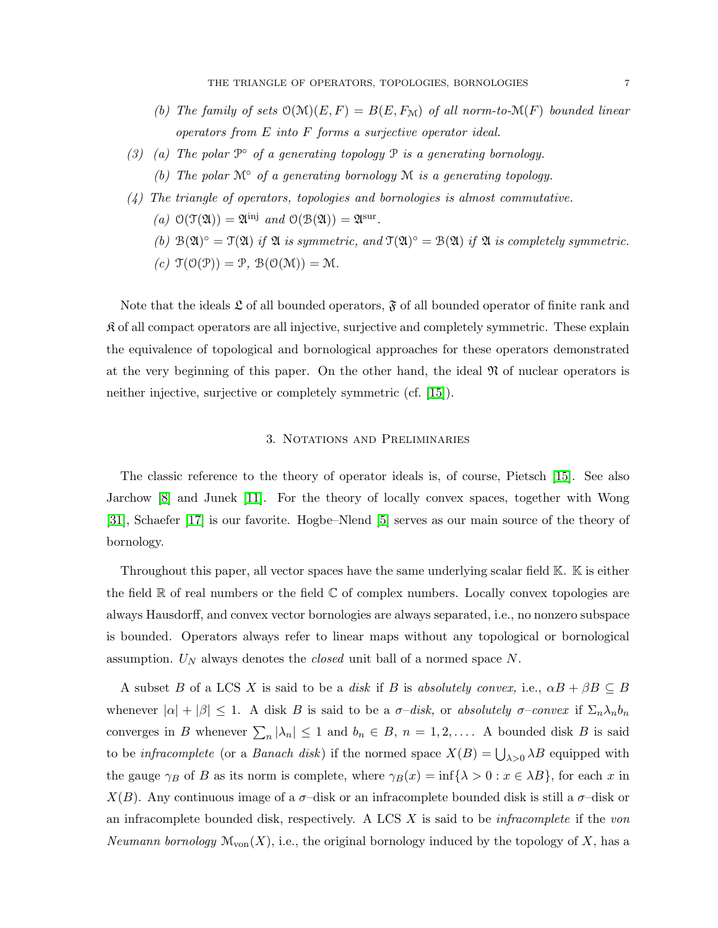- *(b)* The family of sets  $O(M)(E, F) = B(E, F_M)$  of all norm-to- $M(F)$  bounded linear *operators from* E *into* F *forms a surjective operator ideal.*
- *(3) (a) The polar* P *of a generating topology* P *is a generating bornology. (b) The polar* M◦ *of a generating bornology* M *is a generating topology.*
- *(4) The triangle of operators, topologies and bornologies is almost commutative.*
	- (*a*)  $\mathcal{O}(\mathfrak{T}(\mathfrak{A})) = \mathfrak{A}^{\text{inj}}$  *and*  $\mathcal{O}(\mathfrak{B}(\mathfrak{A})) = \mathfrak{A}^{\text{sur}}$ .
	- (b)  $\mathcal{B}(\mathfrak{A})^{\circ} = \mathcal{T}(\mathfrak{A})$  *if*  $\mathfrak{A}$  *is symmetric, and*  $\mathcal{T}(\mathfrak{A})^{\circ} = \mathcal{B}(\mathfrak{A})$  *if*  $\mathfrak{A}$  *is completely symmetric.*
	- $(c)$   $\mathfrak{T}(\mathfrak{O}(\mathfrak{P})) = \mathfrak{P}, \mathfrak{B}(\mathfrak{O}(\mathfrak{M})) = \mathfrak{M}.$

Note that the ideals  $\mathfrak L$  of all bounded operators,  $\mathfrak F$  of all bounded operator of finite rank and  $\mathfrak K$  of all compact operators are all injective, surjective and completely symmetric. These explain the equivalence of topological and bornological approaches for these operators demonstrated at the very beginning of this paper. On the other hand, the ideal  $\mathfrak N$  of nuclear operators is neither injective, surjective or completely symmetric (cf. [\[15\]](#page-31-2)).

## 3. Notations and Preliminaries

<span id="page-6-0"></span>The classic reference to the theory of operator ideals is, of course, Pietsch [\[15\]](#page-31-2). See also Jarchow [\[8\]](#page-31-4) and Junek [\[11\]](#page-31-3). For the theory of locally convex spaces, together with Wong [\[31\]](#page-32-11), Schaefer [\[17\]](#page-31-1) is our favorite. Hogbe–Nlend [\[5\]](#page-31-12) serves as our main source of the theory of bornology.

Throughout this paper, all vector spaces have the same underlying scalar field K. K is either the field  $\mathbb R$  of real numbers or the field  $\mathbb C$  of complex numbers. Locally convex topologies are always Hausdorff, and convex vector bornologies are always separated, i.e., no nonzero subspace is bounded. Operators always refer to linear maps without any topological or bornological assumption.  $U_N$  always denotes the *closed* unit ball of a normed space N.

A subset B of a LCS X is said to be a *disk* if B is *absolutely convex*, i.e.,  $\alpha B + \beta B \subseteq B$ whenever  $|\alpha| + |\beta| \leq 1$ . A disk B is said to be a  $\sigma$ -disk, or *absolutely*  $\sigma$ -convex if  $\Sigma_n \lambda_n b_n$ converges in B whenever  $\sum_{n} |\lambda_n| \leq 1$  and  $b_n \in B$ ,  $n = 1, 2, \ldots$ . A bounded disk B is said to be *infracomplete* (or a *Banach disk*) if the normed space  $X(B) = \bigcup_{\lambda>0} \lambda B$  equipped with the gauge  $\gamma_B$  of B as its norm is complete, where  $\gamma_B(x) = \inf{\{\lambda > 0 : x \in \lambda B\}}$ , for each x in  $X(B)$ . Any continuous image of a  $\sigma$ -disk or an infracomplete bounded disk is still a  $\sigma$ -disk or an infracomplete bounded disk, respectively. A LCS X is said to be *infracomplete* if the *von Neumann bornology*  $\mathcal{M}_{\text{von}}(X)$ , i.e., the original bornology induced by the topology of X, has a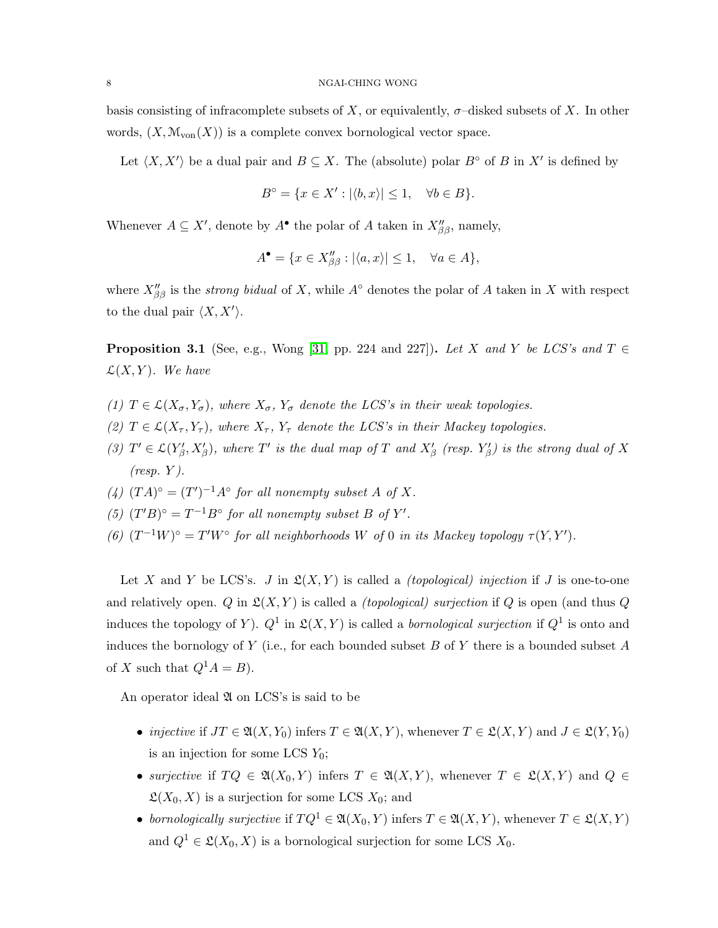basis consisting of infracomplete subsets of X, or equivalently,  $\sigma$ -disked subsets of X. In other words,  $(X, \mathcal{M}_{\text{von}}(X))$  is a complete convex bornological vector space.

Let  $\langle X, X' \rangle$  be a dual pair and  $B \subseteq X$ . The (absolute) polar  $B^{\circ}$  of B in X' is defined by

$$
B^{\circ} = \{ x \in X' : |\langle b, x \rangle| \le 1, \quad \forall b \in B \}.
$$

Whenever  $A \subseteq X'$ , denote by  $A^{\bullet}$  the polar of A taken in  $X''_{\beta\beta}$ , namely,

$$
A^{\bullet} = \{ x \in X''_{\beta\beta} : |\langle a, x \rangle| \le 1, \quad \forall a \in A \},
$$

where  $X''_{\beta\beta}$  is the *strong bidual* of X, while  $A^{\circ}$  denotes the polar of A taken in X with respect to the dual pair  $\langle X, X' \rangle$ .

**Proposition 3.1** (See, e.g., Wong [\[31,](#page-32-11) pp. 224 and 227]). Let X and Y be LCS's and  $T \in$  $\mathcal{L}(X, Y)$ *. We have* 

- *(1)*  $T \in \mathcal{L}(X_{\sigma}, Y_{\sigma})$ *, where*  $X_{\sigma}$ *,*  $Y_{\sigma}$  *denote the LCS's in their weak topologies.*
- (2)  $T \in \mathcal{L}(X_\tau, Y_\tau)$ , where  $X_\tau, Y_\tau$  denote the LCS's in their Mackey topologies.
- (3)  $T' \in \mathcal{L}(Y'_{\beta}, X'_{\beta})$ , where  $T'$  is the dual map of  $T$  and  $X'_{\beta}$  (resp.  $Y'_{\beta}$ ) is the strong dual of  $X$ *(resp.* Y *).*
- (4)  $(TA)^{\circ} = (T')^{-1}A^{\circ}$  *for all nonempty subset* A *of* X.
- (5)  $(T'B)^{\circ} = T^{-1}B^{\circ}$  *for all nonempty subset*  $B$  *of*  $Y'$ *.*
- (6)  $(T^{-1}W)^{\circ} = T'W^{\circ}$  *for all neighborhoods* W *of* 0 *in its Mackey topology*  $\tau(Y, Y')$ *.*

Let X and Y be LCS's. J in  $\mathfrak{L}(X, Y)$  is called a *(topological) injection* if J is one-to-one and relatively open.  $Q$  in  $\mathfrak{L}(X, Y)$  is called a *(topological) surjection* if  $Q$  is open (and thus  $Q$ induces the topology of Y).  $Q^1$  in  $\mathfrak{L}(X,Y)$  is called a *bornological surjection* if  $Q^1$  is onto and induces the bornology of Y (i.e., for each bounded subset B of Y there is a bounded subset A of X such that  $Q^1A = B$ .

An operator ideal  $\mathfrak A$  on LCS's is said to be

- *injective* if  $JT \in \mathfrak{A}(X, Y_0)$  infers  $T \in \mathfrak{A}(X, Y)$ , whenever  $T \in \mathfrak{L}(X, Y)$  and  $J \in \mathfrak{L}(Y, Y_0)$ is an injection for some LCS  $Y_0$ ;
- *surjective* if  $TQ \in \mathfrak{A}(X_0, Y)$  infers  $T \in \mathfrak{A}(X, Y)$ , whenever  $T \in \mathfrak{L}(X, Y)$  and  $Q \in$  $\mathfrak{L}(X_0, X)$  is a surjection for some LCS  $X_0$ ; and
- *bornologically surjective* if  $T Q^1 \in \mathfrak{A}(X_0, Y)$  infers  $T \in \mathfrak{A}(X, Y)$ , whenever  $T \in \mathfrak{L}(X, Y)$ and  $Q^1 \in \mathfrak{L}(X_0, X)$  is a bornological surjection for some LCS  $X_0$ .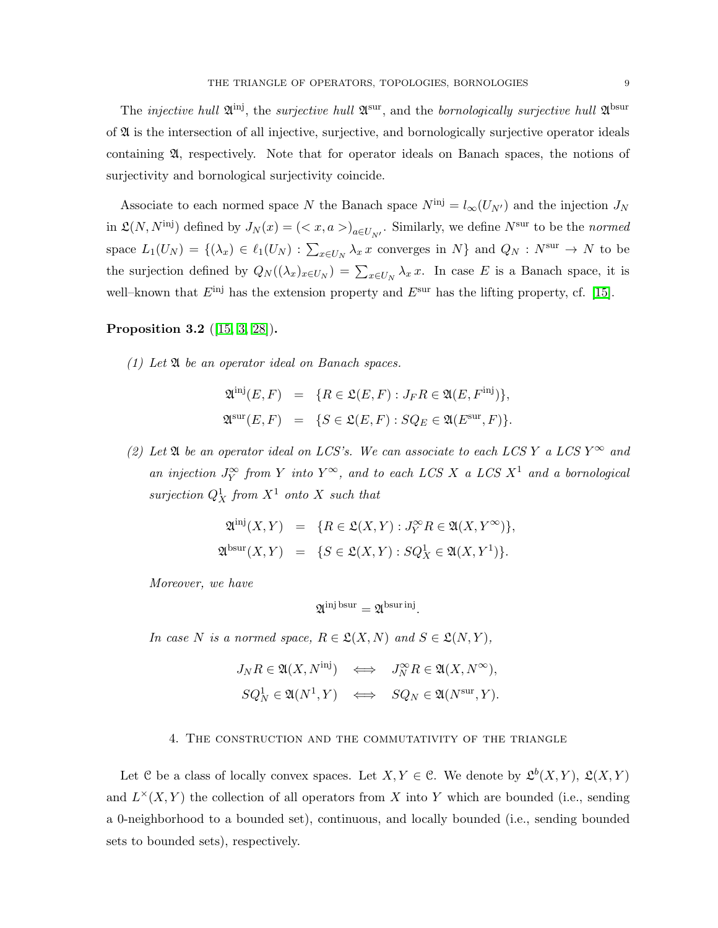Associate to each normed space N the Banach space  $N^{\text{inj}} = l_{\infty}(U_{N'})$  and the injection  $J_N$ in  $\mathfrak{L}(N, N^{\text{inj}})$  defined by  $J_N(x) = \left(\langle x, a \rangle_{a \in U_{N'}}\right)$ . Similarly, we define  $N^{\text{sur}}$  to be the *normed* space  $L_1(U_N) = \{(\lambda_x) \in \ell_1(U_N) : \sum_{x \in U_N} \lambda_x x$  converges in N} and  $Q_N : N^{\text{sur}} \to N$  to be the surjection defined by  $Q_N((\lambda_x)_{x\in U_N}) = \sum_{x\in U_N} \lambda_x x$ . In case E is a Banach space, it is well–known that  $E^{\text{inj}}$  has the extension property and  $E^{\text{sur}}$  has the lifting property, cf. [\[15\]](#page-31-2).

# <span id="page-8-1"></span>Proposition 3.2 ([\[15,](#page-31-2) [3,](#page-31-9) [28\]](#page-32-12)).

*(1) Let* A *be an operator ideal on Banach spaces.*

$$
\mathfrak{A}^{\text{inj}}(E, F) = \{ R \in \mathfrak{L}(E, F) : J_F R \in \mathfrak{A}(E, F^{\text{inj}}) \},
$$
  

$$
\mathfrak{A}^{\text{sur}}(E, F) = \{ S \in \mathfrak{L}(E, F) : SQ_E \in \mathfrak{A}(E^{\text{sur}}, F) \}.
$$

*(2) Let*  $\mathfrak A$  *be an operator ideal on LCS's. We can associate to each LCS* Y *a LCS* Y<sup> $\infty$ </sup> *and an injection*  $J_Y^{\infty}$  *from* Y *into* Y<sup>∞</sup>, and to each LCS X a LCS X<sup>1</sup> and a bornological  $sufficient Q_X^1$  *from*  $X^1$  *onto* X *such that* 

$$
\mathfrak{A}^{\mathrm{inj}}(X,Y) = \{ R \in \mathfrak{L}(X,Y) : J_Y^{\infty} R \in \mathfrak{A}(X,Y^{\infty}) \},
$$
  

$$
\mathfrak{A}^{\mathrm{bsur}}(X,Y) = \{ S \in \mathfrak{L}(X,Y) : SQ_X^1 \in \mathfrak{A}(X,Y^1) \}.
$$

*Moreover, we have*

$$
\mathfrak{A}^{\text{inj bsur}} = \mathfrak{A}^{\text{bsur inj}}.
$$

*In case* N *is a normed space,*  $R \in \mathcal{L}(X, N)$  *and*  $S \in \mathcal{L}(N, Y)$ *,* 

$$
J_N R \in \mathfrak{A}(X, N^{\text{inj}}) \iff J_N^{\infty} R \in \mathfrak{A}(X, N^{\infty}),
$$
  

$$
SQ_N^1 \in \mathfrak{A}(N^1, Y) \iff SQ_N \in \mathfrak{A}(N^{\text{sur}}, Y).
$$

## 4. The construction and the commutativity of the triangle

<span id="page-8-0"></span>Let C be a class of locally convex spaces. Let  $X, Y \in \mathcal{C}$ . We denote by  $\mathfrak{L}^b(X, Y)$ ,  $\mathfrak{L}(X, Y)$ and  $L^{\times}(X, Y)$  the collection of all operators from X into Y which are bounded (i.e., sending a 0-neighborhood to a bounded set), continuous, and locally bounded (i.e., sending bounded sets to bounded sets), respectively.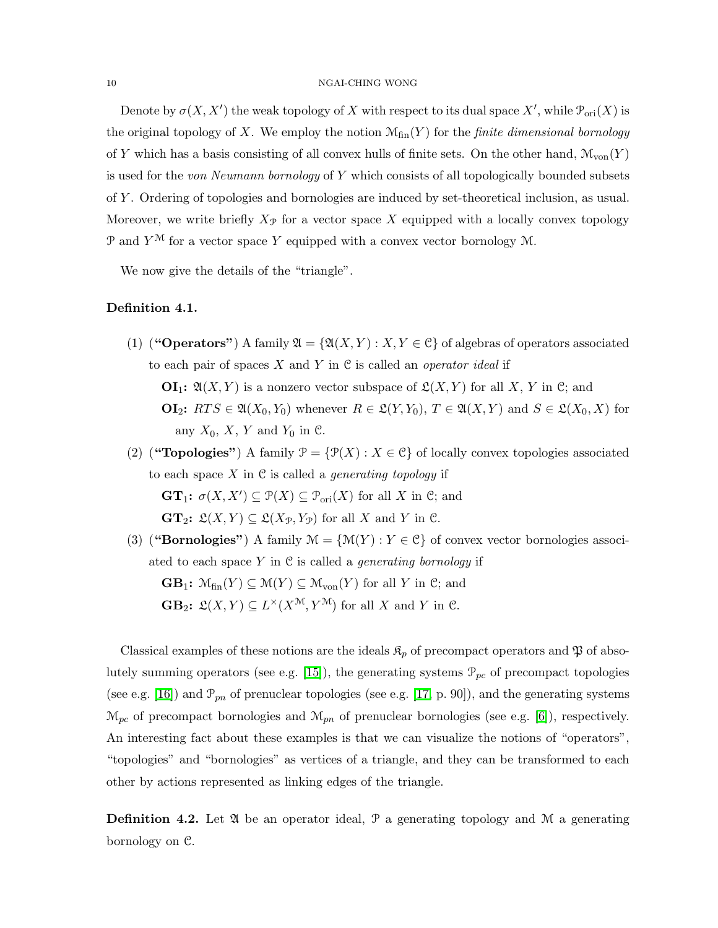#### 10 NGAI-CHING WONG

Denote by  $\sigma(X, X')$  the weak topology of X with respect to its dual space  $X'$ , while  $\mathcal{P}_{\text{ori}}(X)$  is the original topology of X. We employ the notion  $\mathcal{M}_{fin}(Y)$  for the *finite dimensional bornology* of Y which has a basis consisting of all convex hulls of finite sets. On the other hand,  $\mathcal{M}_{\text{von}}(Y)$ is used for the *von Neumann bornology* of Y which consists of all topologically bounded subsets of Y . Ordering of topologies and bornologies are induced by set-theoretical inclusion, as usual. Moreover, we write briefly  $X_{\mathcal{P}}$  for a vector space X equipped with a locally convex topology P and  $Y^{\mathcal{M}}$  for a vector space Y equipped with a convex vector bornology M.

We now give the details of the "triangle".

# Definition 4.1.

- (1) ("Operators") A family  $\mathfrak{A} = \{ \mathfrak{A}(X,Y) : X,Y \in \mathcal{C} \}$  of algebras of operators associated to each pair of spaces X and Y in C is called an *operator ideal* if  $\mathbf{OI}_1: \mathfrak{A}(X,Y)$  is a nonzero vector subspace of  $\mathfrak{L}(X,Y)$  for all X, Y in C; and **OI**<sub>2</sub>:  $RTS \in \mathfrak{A}(X_0, Y_0)$  whenever  $R \in \mathfrak{L}(Y, Y_0)$ ,  $T \in \mathfrak{A}(X, Y)$  and  $S \in \mathfrak{L}(X_0, X)$  for any  $X_0$ , X, Y and  $Y_0$  in C.
- (2) ("**Topologies**") A family  $\mathcal{P} = \{ \mathcal{P}(X) : X \in \mathcal{C} \}$  of locally convex topologies associated to each space X in C is called a *generating topology* if  $\mathbf{GT}_1$ :  $\sigma(X, X') \subseteq \mathcal{P}(X) \subseteq \mathcal{P}_{\text{ori}}(X)$  for all X in C; and

 $\mathbf{GT}_2$ :  $\mathfrak{L}(X, Y) \subseteq \mathfrak{L}(X_{\mathcal{P}}, Y_{\mathcal{P}})$  for all X and Y in C.

(3) ("Bornologies") A family  $\mathcal{M} = \{\mathcal{M}(Y) : Y \in \mathcal{C}\}\$  of convex vector bornologies associated to each space Y in C is called a *generating bornology* if  $\mathbf{GB}_1$ :  $\mathcal{M}_{fin}(Y) \subseteq \mathcal{M}(Y) \subseteq \mathcal{M}_{von}(Y)$  for all Y in C; and **GB**<sub>2</sub>:  $\mathfrak{L}(X,Y) \subseteq L^{\times}(X^{\mathfrak{M}}, Y^{\mathfrak{M}})$  for all X and Y in C.

Classical examples of these notions are the ideals  $\mathfrak{K}_p$  of precompact operators and  $\mathfrak{P}$  of abso-lutely summing operators (see e.g. [\[15\]](#page-31-2)), the generating systems  $\mathcal{P}_{pc}$  of precompact topologies (see e.g. [\[16\]](#page-31-11)) and  $\mathcal{P}_{pn}$  of prenuclear topologies (see e.g. [\[17,](#page-31-1) p. 90]), and the generating systems  $\mathcal{M}_{pc}$  of precompact bornologies and  $\mathcal{M}_{pn}$  of prenuclear bornologies (see e.g. [\[6\]](#page-31-13)), respectively. An interesting fact about these examples is that we can visualize the notions of "operators", "topologies" and "bornologies" as vertices of a triangle, and they can be transformed to each other by actions represented as linking edges of the triangle.

**Definition 4.2.** Let  $\mathfrak{A}$  be an operator ideal,  $\mathfrak{P}$  a generating topology and  $\mathfrak{M}$  a generating bornology on C.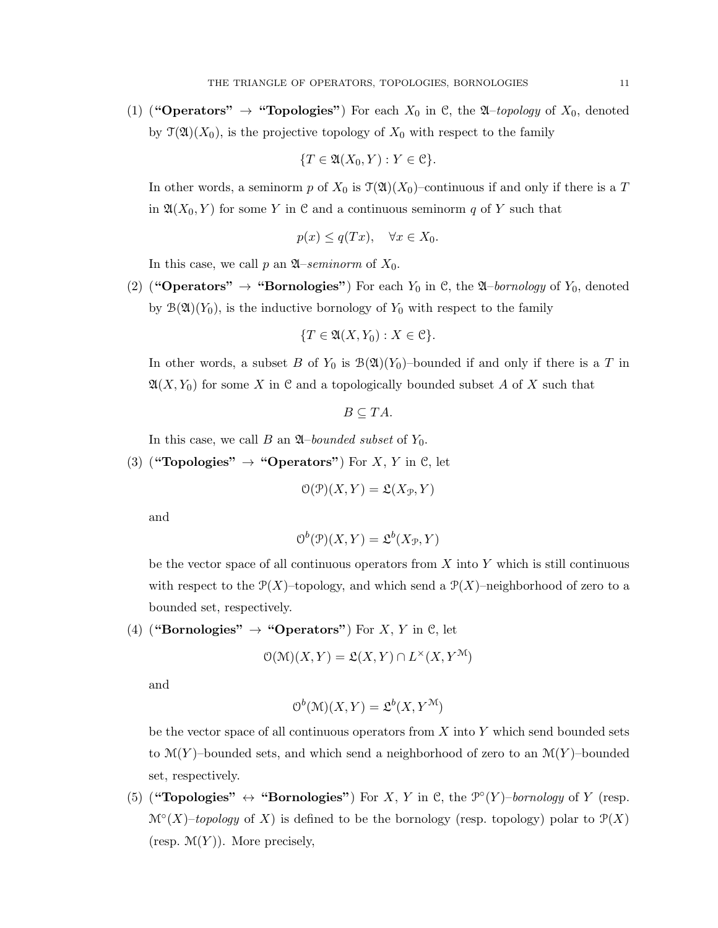(1) ("**Operators"**  $\rightarrow$  "**Topologies"**) For each  $X_0$  in  $\mathcal{C}$ , the  $\mathcal{A}-topology$  of  $X_0$ , denoted by  $\mathfrak{T}(\mathfrak{A})(X_0)$ , is the projective topology of  $X_0$  with respect to the family

$$
\{T\in \mathfrak{A}(X_0,Y): Y\in \mathfrak{C}\}.
$$

In other words, a seminorm p of  $X_0$  is  $\mathcal{T}(\mathfrak{A})(X_0)$ –continuous if and only if there is a T in  $\mathfrak{A}(X_0, Y)$  for some Y in C and a continuous seminorm q of Y such that

$$
p(x) \le q(Tx), \quad \forall x \in X_0.
$$

In this case, we call p an  $\mathfrak{A}$ –*seminorm* of  $X_0$ .

(2) ("**Operators"**  $\rightarrow$  "**Bornologies"**) For each  $Y_0$  in C, the  $\mathfrak{A}$ -bornology of  $Y_0$ , denoted by  $\mathcal{B}(\mathfrak{A})(Y_0)$ , is the inductive bornology of  $Y_0$  with respect to the family

$$
\{T\in \mathfrak{A}(X,Y_0): X\in \mathfrak{C}\}.
$$

In other words, a subset B of  $Y_0$  is  $\mathcal{B}(\mathfrak{A})(Y_0)$ -bounded if and only if there is a T in  $\mathfrak{A}(X, Y_0)$  for some X in C and a topologically bounded subset A of X such that

$$
B\subseteq TA.
$$

In this case, we call  $B$  an  $\mathfrak{A}$ –*bounded subset* of  $Y_0$ .

(3) ("Topologies"  $\rightarrow$  "Operators") For X, Y in C, let

$$
\mathcal{O}(\mathcal{P})(X,Y) = \mathfrak{L}(X_{\mathcal{P}},Y)
$$

and

$$
O^b(\mathcal{P})(X,Y) = \mathfrak{L}^b(X_{\mathcal{P}}, Y)
$$

be the vector space of all continuous operators from  $X$  into  $Y$  which is still continuous with respect to the  $\mathcal{P}(X)$ –topology, and which send a  $\mathcal{P}(X)$ –neighborhood of zero to a bounded set, respectively.

(4) ("Bornologies"  $\rightarrow$  "Operators") For X, Y in C, let

$$
\mathcal{O}(\mathcal{M})(X,Y) = \mathfrak{L}(X,Y) \cap L^{\times}(X,Y^{\mathcal{M}})
$$

and

$$
O^b(\mathcal{M})(X,Y) = \mathfrak{L}^b(X,Y^{\mathcal{M}})
$$

be the vector space of all continuous operators from  $X$  into  $Y$  which send bounded sets to  $\mathcal{M}(Y)$ –bounded sets, and which send a neighborhood of zero to an  $\mathcal{M}(Y)$ –bounded set, respectively.

(5) ("**Topologies"**  $\leftrightarrow$  "**Bornologies"**) For X, Y in C, the  $\mathcal{P}^{\circ}(Y)$ -bornology of Y (resp.  $\mathcal{M}^{\circ}(X)$ -topology of X) is defined to be the bornology (resp. topology) polar to  $\mathcal{P}(X)$ (resp.  $\mathcal{M}(Y)$ ). More precisely,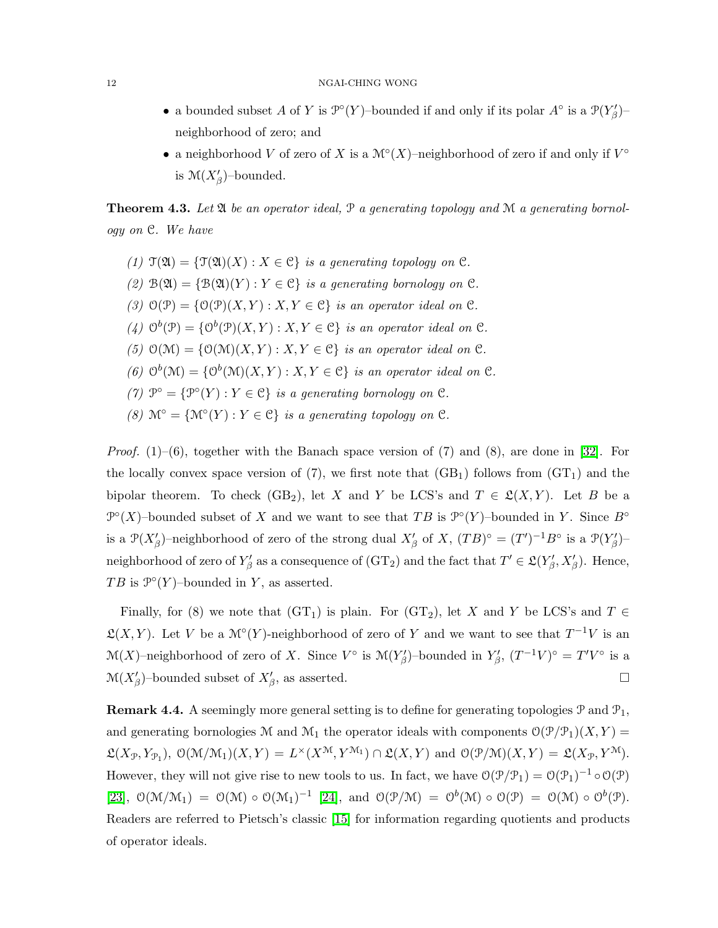- a bounded subset A of Y is  $\mathcal{P}^{\circ}(Y)$ -bounded if and only if its polar  $A^{\circ}$  is a  $\mathcal{P}(Y_{\beta})$ neighborhood of zero; and
- a neighborhood V of zero of X is a  $\mathcal{M}^\circ(X)$ -neighborhood of zero if and only if  $V^\circ$ is  $\mathcal{M}(X'_{\beta})$ -bounded.

**Theorem 4.3.** Let  $\mathfrak{A}$  be an operator ideal,  $\mathfrak{P}$  a generating topology and  $\mathfrak{M}$  a generating bornol*ogy on* C*. We have*

- *(1)*  $\mathfrak{T}(\mathfrak{A}) = {\mathfrak{T}(\mathfrak{A})(X) : X \in \mathcal{C}}$  *is a generating topology on*  $\mathcal{C}$ *.*
- (2)  $B(\mathfrak{A}) = \{B(\mathfrak{A})(Y) : Y \in \mathfrak{C}\}\$ is a generating bornology on  $\mathfrak{C}$ .
- (3)  $O(\mathcal{P}) = \{O(\mathcal{P})(X, Y) : X, Y \in \mathcal{C}\}\$ is an operator ideal on  $\mathcal{C}$ *.*
- (4)  $O^b(\mathcal{P}) = \{O^b(\mathcal{P})(X, Y) : X, Y \in \mathcal{C}\}\$ is an operator ideal on  $\mathcal{C}$ .
- (5)  $O(\mathcal{M}) = \{O(\mathcal{M})(X, Y) : X, Y \in \mathcal{C}\}\$ is an operator ideal on  $\mathcal{C}$ *.*
- (6)  $\mathcal{O}^b(\mathcal{M}) = \{ \mathcal{O}^b(\mathcal{M})(X, Y) : X, Y \in \mathcal{C} \}$  *is an operator ideal on*  $\mathcal{C}$ *.*
- *(7)*  $\mathcal{P}^{\circ} = {\mathcal{P}^{\circ}(Y) : Y \in \mathcal{C}}$  *is a generating bornology on*  $\mathcal{C}$ *.*
- *(8)*  $\mathcal{M}^{\circ} = {\mathcal{M}^{\circ}(Y) : Y \in \mathcal{C}}$  *is a generating topology on*  $\mathcal{C}$ *.*

*Proof.* (1)–(6), together with the Banach space version of (7) and (8), are done in [\[32\]](#page-32-6). For the locally convex space version of (7), we first note that  $(GB<sub>1</sub>)$  follows from  $(GT<sub>1</sub>)$  and the bipolar theorem. To check (GB<sub>2</sub>), let X and Y be LCS's and  $T \in \mathfrak{L}(X, Y)$ . Let B be a  $\mathcal{P}^{\circ}(X)$ -bounded subset of X and we want to see that TB is  $\mathcal{P}^{\circ}(Y)$ -bounded in Y. Since  $B^{\circ}$ is a  $\mathcal{P}(X'_{\beta})$ -neighborhood of zero of the strong dual  $X'_{\beta}$  of X,  $(TB)^{\circ} = (T')^{-1}B^{\circ}$  is a  $\mathcal{P}(Y'_{\beta})$ neighborhood of zero of  $Y'_\beta$  as a consequence of  $(\text{GT}_2)$  and the fact that  $T' \in \mathfrak{L}(Y'_\beta, X'_\beta)$ . Hence, TB is  $\mathcal{P}^{\circ}(Y)$ -bounded in Y, as asserted.

Finally, for (8) we note that  $(GT_1)$  is plain. For  $(GT_2)$ , let X and Y be LCS's and T  $\in$  $\mathfrak{L}(X,Y)$ . Let V be a  $\mathcal{M}^\circ(Y)$ -neighborhood of zero of Y and we want to see that  $T^{-1}V$  is an  $\mathcal{M}(X)$ –neighborhood of zero of X. Since  $V^{\circ}$  is  $\mathcal{M}(Y'_{\beta})$ –bounded in  $Y'_{\beta}$ ,  $(T^{-1}V)^{\circ} = T'V^{\circ}$  is a  $\mathcal{M}(X'_{\beta})$ -bounded subset of  $X'_{\beta}$ , as asserted.

**Remark 4.4.** A seemingly more general setting is to define for generating topologies  $\mathcal{P}$  and  $\mathcal{P}_1$ , and generating bornologies M and  $\mathcal{M}_1$  the operator ideals with components  $\mathcal{O}(\mathcal{P}/\mathcal{P}_1)(X, Y) =$  $\mathfrak{L}(X_{\mathcal{P}}, Y_{\mathcal{P}_1}), \mathcal{O}(\mathcal{M}/\mathcal{M}_1)(X, Y) = L^{\times}(X^{\mathcal{M}}, Y^{\mathcal{M}_1}) \cap \mathfrak{L}(X, Y) \text{ and } \mathcal{O}(\mathcal{P}/\mathcal{M})(X, Y) = \mathfrak{L}(X_{\mathcal{P}}, Y^{\mathcal{M}}).$ However, they will not give rise to new tools to us. In fact, we have  $O(\mathcal{P}/\mathcal{P}_1) = O(\mathcal{P}_1)^{-1} \circ O(\mathcal{P})$ [\[23\]](#page-32-4),  $\mathcal{O}(\mathcal{M}/\mathcal{M}_1) = \mathcal{O}(\mathcal{M}) \circ \mathcal{O}(\mathcal{M}_1)^{-1}$  [\[24\]](#page-32-5), and  $\mathcal{O}(\mathcal{P}/\mathcal{M}) = \mathcal{O}(\mathcal{M}) \circ \mathcal{O}(\mathcal{P}) = \mathcal{O}(\mathcal{M}) \circ \mathcal{O}^b(\mathcal{P})$ . Readers are referred to Pietsch's classic [\[15\]](#page-31-2) for information regarding quotients and products of operator ideals.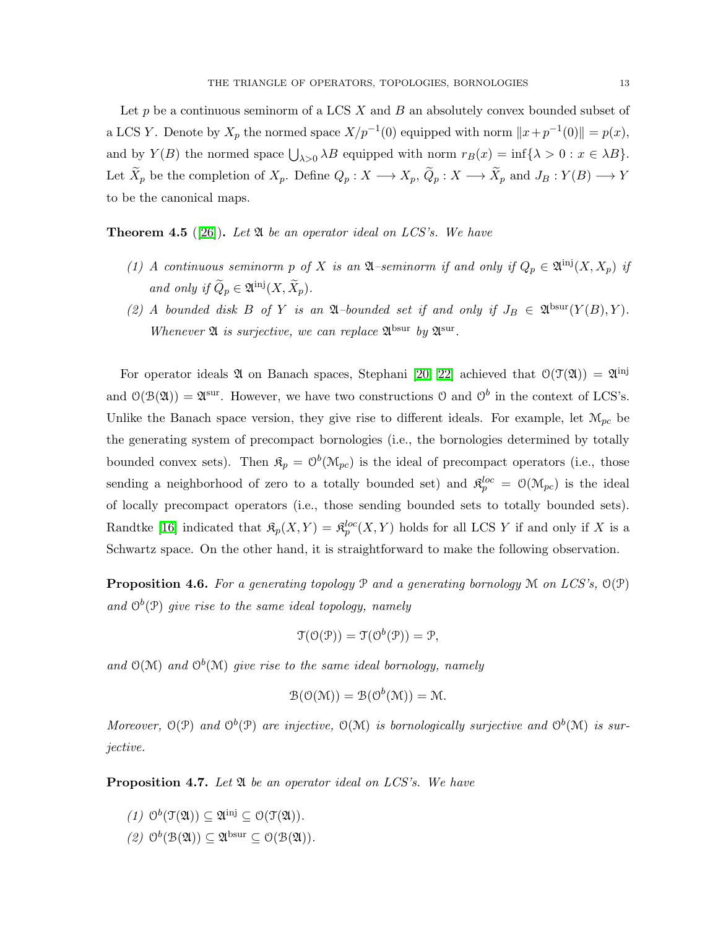Let  $p$  be a continuous seminorm of a LCS  $X$  and  $B$  an absolutely convex bounded subset of a LCS Y. Denote by  $X_p$  the normed space  $X/p^{-1}(0)$  equipped with norm  $||x+p^{-1}(0)|| = p(x)$ , and by  $Y(B)$  the normed space  $\bigcup_{\lambda>0} \lambda B$  equipped with norm  $r_B(x) = \inf \{\lambda > 0 : x \in \lambda B\}.$ Let  $\widetilde{X}_p$  be the completion of  $X_p$ . Define  $Q_p: X \longrightarrow X_p$ ,  $\widetilde{Q}_p: X \longrightarrow \widetilde{X}_p$  and  $J_B: Y(B) \longrightarrow Y$ to be the canonical maps.

<span id="page-12-0"></span>Theorem 4.5 ([\[26\]](#page-32-0)). *Let* A *be an operator ideal on LCS's. We have*

- (1) A continuous seminorm p of X is an  $\mathfrak{A}$ –seminorm if and only if  $Q_p \in \mathfrak{A}^{\{inj\}}(X, X_p)$  if *and only if*  $\widetilde{Q}_p \in \mathfrak{A}^{\text{inj}}(X, \widetilde{X}_p)$ *.*
- (2) A bounded disk B of Y is an  $\mathfrak{A}$ -bounded set if and only if  $J_B \in \mathfrak{A}^{\text{bsur}}(Y(B), Y)$ . *Whenever*  $\mathfrak A$  *is surjective, we can replace*  $\mathfrak A^{\rm bsur}$  *by*  $\mathfrak A^{\rm sur}$ *.*

For operator ideals  $\mathfrak A$  on Banach spaces, Stephani [\[20,](#page-32-1) [22\]](#page-32-3) achieved that  $\mathfrak O(\mathfrak T(\mathfrak A))=\mathfrak A^{\rm inj}$ and  $\mathcal{O}(\mathcal{B}(\mathfrak{A})) = \mathfrak{A}^{\text{sur}}$ . However, we have two constructions  $\mathcal{O}$  and  $\mathcal{O}^b$  in the context of LCS's. Unlike the Banach space version, they give rise to different ideals. For example, let  $\mathcal{M}_{pc}$  be the generating system of precompact bornologies (i.e., the bornologies determined by totally bounded convex sets). Then  $\mathfrak{K}_p = \mathcal{O}^b(\mathfrak{M}_{pc})$  is the ideal of precompact operators (i.e., those sending a neighborhood of zero to a totally bounded set) and  $\mathfrak{K}_{p}^{loc} = \mathcal{O}(\mathcal{M}_{pc})$  is the ideal of locally precompact operators (i.e., those sending bounded sets to totally bounded sets). Randtke [\[16\]](#page-31-11) indicated that  $\mathfrak{K}_p(X,Y) = \mathfrak{K}_p^{loc}(X,Y)$  holds for all LCS Y if and only if X is a Schwartz space. On the other hand, it is straightforward to make the following observation.

Proposition 4.6. *For a generating topology* P *and a generating bornology* M *on LCS's,* O(P) and  $O^b(\mathcal{P})$  *give rise to the same ideal topology, namely* 

$$
\mathfrak{T}(\mathfrak{O}(\mathcal{P})) = \mathfrak{T}(\mathfrak{O}^b(\mathcal{P})) = \mathfrak{P},
$$

and  $O(M)$  and  $O^b(M)$  give rise to the same ideal bornology, namely

$$
\mathcal{B}(\mathcal{O}(\mathcal{M})) = \mathcal{B}(\mathcal{O}^b(\mathcal{M})) = \mathcal{M}.
$$

Moreover,  $O(P)$  and  $O^b(P)$  are injective,  $O(M)$  is bornologically surjective and  $O^b(M)$  is sur*jective.*

<span id="page-12-1"></span>Proposition 4.7. *Let* A *be an operator ideal on LCS's. We have*

- $(1)$   $\mathcal{O}^b(\mathcal{T}(\mathfrak{A})) \subseteq \mathfrak{A}^{\text{inj}} \subseteq \mathcal{O}(\mathcal{T}(\mathfrak{A})).$
- $(2)$   $\mathcal{O}^b(\mathcal{B}(\mathfrak{A})) \subseteq \mathfrak{A}^{\text{bsur}} \subseteq \mathcal{O}(\mathcal{B}(\mathfrak{A})).$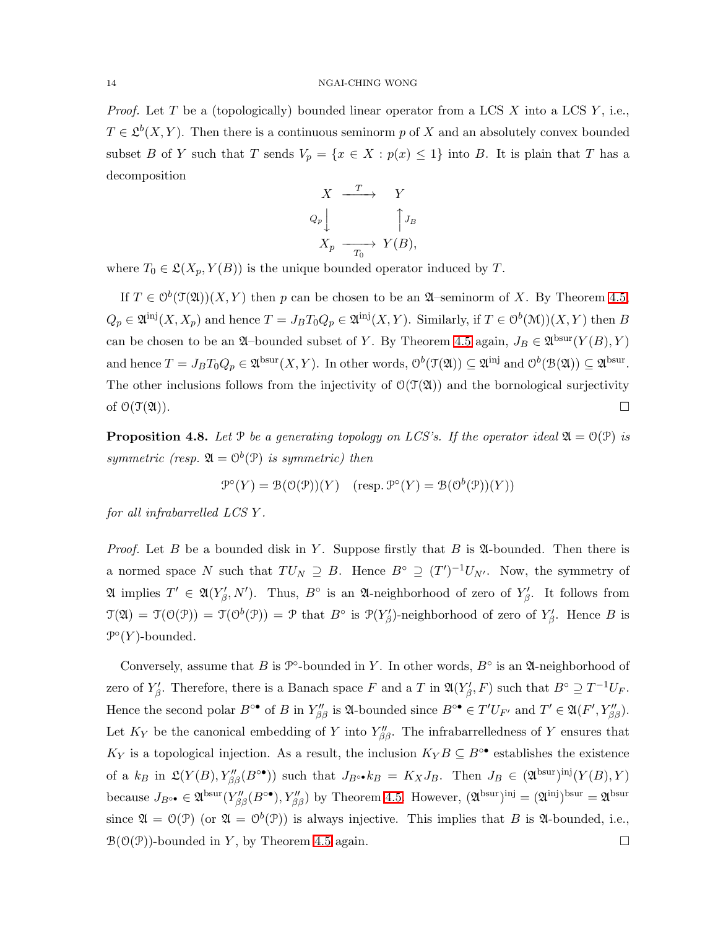#### 14 NGAI-CHING WONG

*Proof.* Let T be a (topologically) bounded linear operator from a LCS X into a LCS Y, i.e.,  $T \in \mathcal{L}^b(X, Y)$ . Then there is a continuous seminorm p of X and an absolutely convex bounded subset B of Y such that T sends  $V_p = \{x \in X : p(x) \leq 1\}$  into B. It is plain that T has a decomposition

$$
X \xrightarrow{T} Y
$$
  
\n
$$
Q_p \downarrow \qquad \qquad \uparrow J_B
$$
  
\n
$$
X_p \xrightarrow{T_0} Y(B),
$$

where  $T_0 \in \mathfrak{L}(X_p, Y(B))$  is the unique bounded operator induced by T.

If  $T \in O^b(\mathfrak{T}(\mathfrak{A}))(X,Y)$  then p can be chosen to be an  $\mathfrak{A}$ -seminorm of X. By Theorem [4.5,](#page-12-0)  $Q_p \in \mathfrak{A}^{\text{inj}}(X, X_p)$  and hence  $T = J_B T_0 Q_p \in \mathfrak{A}^{\text{inj}}(X, Y)$ . Similarly, if  $T \in \mathcal{O}^b(\mathcal{M}))(X, Y)$  then B can be chosen to be an  $\mathfrak{A}$ -bounded subset of Y. By Theorem [4.5](#page-12-0) again,  $J_B \in \mathfrak{A}^{\text{bsur}}(Y(B), Y)$ and hence  $T = J_B T_0 Q_p \in \mathfrak{A}^{\text{bsur}}(X, Y)$ . In other words,  $\mathcal{O}^b(\mathfrak{T}(\mathfrak{A})) \subseteq \mathfrak{A}^{\text{inj}}$  and  $\mathcal{O}^b(\mathfrak{B}(\mathfrak{A})) \subseteq \mathfrak{A}^{\text{bsur}}$ . The other inclusions follows from the injectivity of  $O(\mathcal{T}(\mathfrak{A}))$  and the bornological surjectivity of  $\mathcal{O}(\mathfrak{T}(\mathfrak{A}))$ .

**Proposition 4.8.** Let  $\mathcal{P}$  be a generating topology on LCS's. If the operator ideal  $\mathfrak{A} = \mathcal{O}(\mathcal{P})$  is *symmetric (resp.*  $\mathfrak{A} = \mathcal{O}^b(\mathfrak{P})$  *is symmetric) then* 

$$
\mathcal{P}^{\circ}(Y) = \mathcal{B}(\mathcal{O}(\mathcal{P}))(Y) \quad (\text{resp. } \mathcal{P}^{\circ}(Y) = \mathcal{B}(\mathcal{O}^b(\mathcal{P}))(Y))
$$

*for all infrabarrelled LCS* Y *.*

*Proof.* Let  $B$  be a bounded disk in  $Y$ . Suppose firstly that  $B$  is  $\mathfrak A$ -bounded. Then there is a normed space N such that  $TU_N \supseteq B$ . Hence  $B^{\circ} \supseteq (T')^{-1}U_{N'}$ . Now, the symmetry of  $\mathfrak{A}$  implies  $T' \in \mathfrak{A}(Y'_{\beta}, N')$ . Thus,  $B^{\circ}$  is an  $\mathfrak{A}$ -neighborhood of zero of  $Y'_{\beta}$ . It follows from  $\mathfrak{T}(\mathfrak{A}) = \mathfrak{T}(\mathfrak{O}(\mathfrak{P})) = \mathfrak{P}$  that  $B^{\circ}$  is  $\mathfrak{P}(Y'_{\beta})$ -neighborhood of zero of  $Y'_{\beta}$ . Hence B is  $\mathcal{P}^{\circ}(Y)$ -bounded.

Conversely, assume that B is  $\mathcal{P}^{\circ}$ -bounded in Y. In other words,  $B^{\circ}$  is an  $\mathfrak{A}$ -neighborhood of zero of  $Y'_\beta$ . Therefore, there is a Banach space F and a T in  $\mathfrak{A}(Y'_\beta,F)$  such that  $B^\circ \supseteq T^{-1}U_F$ . Hence the second polar  $B^{\circ\bullet}$  of B in  $Y''_{\beta\beta}$  is  $\mathfrak{A}\text{-bounded since } B^{\circ\bullet} \in T'U_{F'}$  and  $T' \in \mathfrak{A}(F', Y''_{\beta\beta})$ . Let  $K_Y$  be the canonical embedding of Y into  $Y''_{\beta\beta}$ . The infrabarrelledness of Y ensures that  $K_Y$  is a topological injection. As a result, the inclusion  $K_Y B \subseteq B^{\circ \bullet}$  establishes the existence of a  $k_B$  in  $\mathfrak{L}(Y(B), Y''_{\beta\beta}(B^{\circ\bullet}))$  such that  $J_{B^{\circ\bullet}}k_B = K_XJ_B$ . Then  $J_B \in (\mathfrak{A}^{\text{bsur}})^{\text{inj}}(Y(B), Y)$ because  $J_{B^{\circ\bullet}} \in \mathfrak{A}^{\text{bsur}}(Y''_{\beta\beta}(B^{\circ\bullet}), Y''_{\beta\beta})$  by Theorem [4.5.](#page-12-0) However,  $(\mathfrak{A}^{\text{bsur}})^{\text{inj}} = (\mathfrak{A}^{\text{inj}})^{\text{bsur}} = \mathfrak{A}^{\text{bsur}}$ since  $\mathfrak{A} = \mathfrak{O}(\mathfrak{P})$  (or  $\mathfrak{A} = \mathfrak{O}^b(\mathfrak{P})$ ) is always injective. This implies that B is  $\mathfrak{A}$ -bounded, i.e.,  $\mathcal{B}(\mathcal{O}(\mathcal{P}))$ -bounded in Y, by Theorem [4.5](#page-12-0) again.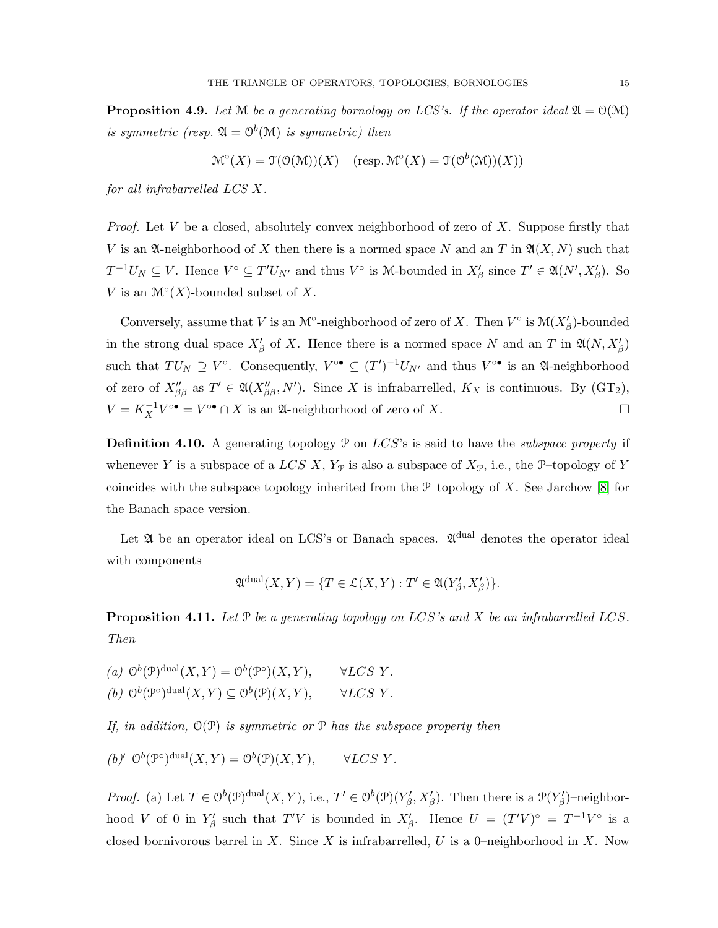**Proposition 4.9.** Let  $M$  be a generating bornology on LCS's. If the operator ideal  $\mathfrak{A} = \mathfrak{O}(M)$ *is symmetric (resp.*  $\mathfrak{A} = \mathcal{O}^b(\mathcal{M})$  *is symmetric) then* 

$$
\mathcal{M}^{\circ}(X) = \mathcal{T}(\mathcal{O}(\mathcal{M}))(X) \quad (\text{resp. } \mathcal{M}^{\circ}(X) = \mathcal{T}(\mathcal{O}^{b}(\mathcal{M}))(X))
$$

*for all infrabarrelled LCS* X*.*

*Proof.* Let V be a closed, absolutely convex neighborhood of zero of X. Suppose firstly that V is an  $\mathfrak A$ -neighborhood of X then there is a normed space N and an T in  $\mathfrak A(X,N)$  such that  $T^{-1}U_N \subseteq V$ . Hence  $V^{\circ} \subseteq T'U_{N'}$  and thus  $V^{\circ}$  is M-bounded in  $X'_{\beta}$  since  $T' \in \mathfrak{A}(N', X'_{\beta})$ . So V is an  $\mathcal{M}^\circ(X)$ -bounded subset of X.

Conversely, assume that V is an  $\mathcal{M}^{\circ}$ -neighborhood of zero of X. Then  $V^{\circ}$  is  $\mathcal{M}(X^{\prime}_{\beta})$ -bounded in the strong dual space  $X'_{\beta}$  of X. Hence there is a normed space N and an T in  $\mathfrak{A}(N, X'_{\beta})$ such that  $TU_N \supseteq V^{\circ}$ . Consequently,  $V^{\circ \bullet} \subseteq (T')^{-1}U_{N'}$  and thus  $V^{\circ \bullet}$  is an  $\mathfrak{A}$ -neighborhood of zero of  $X''_{\beta\beta}$  as  $T' \in \mathfrak{A}(X''_{\beta\beta}, N')$ . Since X is infrabarrelled,  $K_X$  is continuous. By  $(\text{GT}_2)$ ,  $V = K_X^{-1} V^{\circ \bullet} = V^{\circ \bullet} \cap X$  is an  $\mathfrak{A}$ -neighborhood of zero of X.

Definition 4.10. A generating topology P on LCS's is said to have the *subspace property* if whenever Y is a subspace of a LCS X,  $Y_{\mathcal{P}}$  is also a subspace of  $X_{\mathcal{P}}$ , i.e., the P-topology of Y coincides with the subspace topology inherited from the  $P$ –topology of X. See Jarchow [\[8\]](#page-31-4) for the Banach space version.

Let  $\mathfrak A$  be an operator ideal on LCS's or Banach spaces.  $\mathfrak A^{dual}$  denotes the operator ideal with components

$$
\mathfrak A^{\rm dual}(X,Y) = \{ T \in \mathcal L(X,Y) : T' \in \mathfrak A(Y'_{\beta},X'_{\beta}) \}.
$$

<span id="page-14-0"></span>Proposition 4.11. *Let* P *be a generating topology on* LCS*'s and* X *be an infrabarrelled* LCS*. Then*

(a)  $\mathcal{O}^b(\mathcal{P})^{\text{dual}}(X, Y) = \mathcal{O}^b(\mathcal{P}^{\circ})(X, Y), \quad \forall LCS \ Y.$ (b)  $O^b(\mathcal{P}^{\circ})^{\text{dual}}(X, Y) \subseteq O^b(\mathcal{P})(X, Y), \quad \forall LCS \ Y.$ 

*If, in addition,* O(P) *is symmetric or* P *has the subspace property then*

(b)' 
$$
\mathcal{O}^b(\mathcal{P}^{\circ})^{\text{dual}}(X, Y) = \mathcal{O}^b(\mathcal{P})(X, Y), \qquad \forall LCS Y.
$$

*Proof.* (a) Let  $T \in O^b(\mathcal{P})^{\text{dual}}(X, Y)$ , i.e.,  $T' \in O^b(\mathcal{P})(Y'_{\beta}, X'_{\beta})$ . Then there is a  $\mathcal{P}(Y'_{\beta})$ -neighborhood V of 0 in  $Y'_\beta$  such that  $T'V$  is bounded in  $X'_\beta$ . Hence  $U = (T'V)^\circ = T^{-1}V^\circ$  is a closed bornivorous barrel in X. Since X is infrabarrelled, U is a 0–neighborhood in X. Now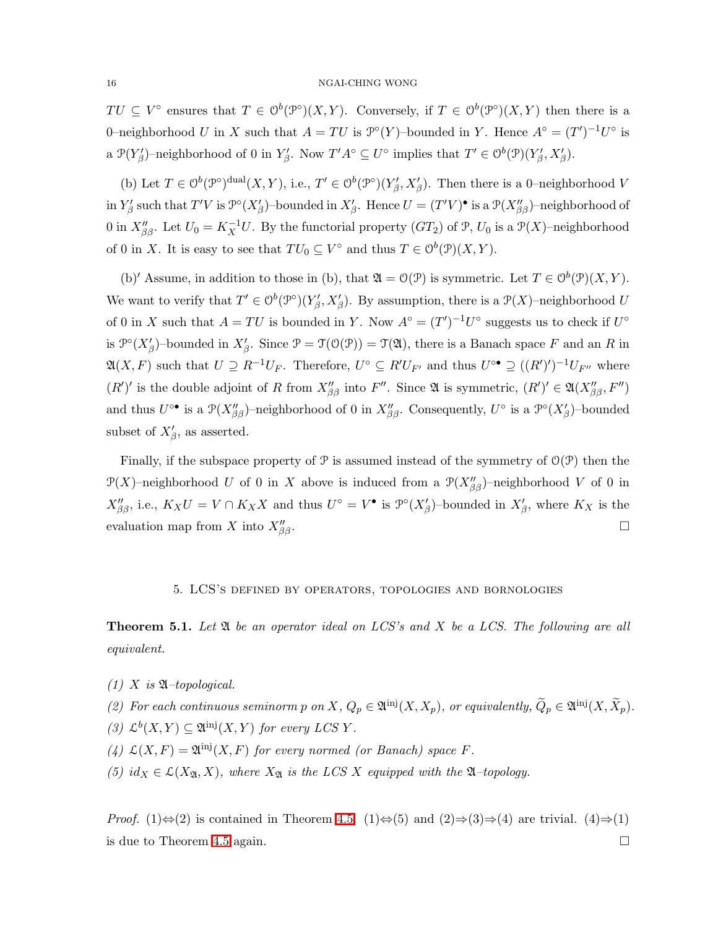#### 16 NGAI-CHING WONG

 $TU \subseteq V^{\circ}$  ensures that  $T \in O^b(\mathcal{P}^{\circ})(X, Y)$ . Conversely, if  $T \in O^b(\mathcal{P}^{\circ})(X, Y)$  then there is a 0-neighborhood U in X such that  $A = TU$  is  $\mathcal{P}^{\circ}(Y)$ -bounded in Y. Hence  $A^{\circ} = (T')^{-1}U^{\circ}$  is a  $\mathcal{P}(Y_{\beta}')$ -neighborhood of 0 in  $Y_{\beta}'$ . Now  $T'A^{\circ} \subseteq U^{\circ}$  implies that  $T' \in \mathcal{O}^b(\mathcal{P})(Y_{\beta}', X_{\beta}')$ .

(b) Let  $T \in \mathcal{O}^b(\mathcal{P}^{\circ})^{\text{dual}}(X, Y)$ , i.e.,  $T' \in \mathcal{O}^b(\mathcal{P}^{\circ})(Y'_{\beta}, X'_{\beta})$ . Then there is a 0-neighborhood V in  $Y'_\beta$  such that  $T'V$  is  $\mathcal{P}^{\circ}(X'_\beta)$ -bounded in  $X'_\beta$ . Hence  $U = (T'V)^{\bullet}$  is a  $\mathcal{P}(X''_{\beta\beta})$ -neighborhood of 0 in  $X''_{\beta\beta}$ . Let  $U_0 = K_X^{-1}U$ . By the functorial property  $(GT_2)$  of  $\mathcal{P}, U_0$  is a  $\mathcal{P}(X)$ -neighborhood of 0 in X. It is easy to see that  $TU_0 \subseteq V^{\circ}$  and thus  $T \in O^b(\mathcal{P})(X, Y)$ .

(b)' Assume, in addition to those in (b), that  $\mathfrak{A} = \mathcal{O}(\mathcal{P})$  is symmetric. Let  $T \in \mathcal{O}^b(\mathcal{P})(X, Y)$ . We want to verify that  $T' \in O^b(\mathcal{P}^{\circ})(Y'_{\beta}, X'_{\beta})$ . By assumption, there is a  $\mathcal{P}(X)$ -neighborhood U of 0 in X such that  $A = TU$  is bounded in Y. Now  $A^{\circ} = (T')^{-1}U^{\circ}$  suggests us to check if  $U^{\circ}$ is  $\mathcal{P}^{\circ}(X_{\beta}')$ -bounded in  $X_{\beta}'$ . Since  $\mathcal{P} = \mathcal{T}(\mathcal{O}(\mathcal{P})) = \mathcal{T}(\mathfrak{A})$ , there is a Banach space F and an R in  $\mathfrak{A}(X,F)$  such that  $U \supseteq R^{-1}U_F$ . Therefore,  $U^{\circ} \subseteq R'U_{F'}$  and thus  $U^{\circ \bullet} \supseteq ((R')')^{-1}U_{F''}$  where  $(R')'$  is the double adjoint of R from  $X''_{\beta\beta}$  into F''. Since  $\mathfrak A$  is symmetric,  $(R')' \in \mathfrak A(X''_{\beta\beta}, F'')$ and thus  $U^{\circ\bullet}$  is a  $\mathcal{P}(X''_{\beta\beta})$ -neighborhood of 0 in  $X''_{\beta\beta}$ . Consequently,  $U^{\circ}$  is a  $\mathcal{P}^{\circ}(X'_{\beta})$ -bounded subset of  $X'_{\beta}$ , as asserted.

Finally, if the subspace property of  $P$  is assumed instead of the symmetry of  $O(P)$  then the  $\mathcal{P}(X)$ –neighborhood U of 0 in X above is induced from a  $\mathcal{P}(X''_{\beta\beta})$ –neighborhood V of 0 in  $X''_{\beta\beta}$ , i.e.,  $K_XU = V \cap K_XX$  and thus  $U^{\circ} = V^{\bullet}$  is  $\mathcal{P}^{\circ}(X'_{\beta})$ -bounded in  $X'_{\beta}$ , where  $K_X$  is the evaluation map from X into  $X''_{\beta\beta}$ .  $\mathcal{B}_{\beta\beta}$ .

### 5. LCS's defined by operators, topologies and bornologies

<span id="page-15-1"></span><span id="page-15-0"></span>Theorem 5.1. *Let* A *be an operator ideal on LCS's and* X *be a LCS. The following are all equivalent.*

 $(1)$  X *is*  $\mathfrak{A}-topological$ .

(2) For each continuous seminorm p on X,  $Q_p \in \mathfrak{A}^{\text{inj}}(X, X_p)$ , or equivalently,  $\widetilde{Q}_p \in \mathfrak{A}^{\text{inj}}(X, \widetilde{X}_p)$ .

- (3)  $\mathcal{L}^b(X, Y) \subseteq \mathfrak{A}^{\text{inj}}(X, Y)$  *for every LCSY*.
- (4)  $\mathcal{L}(X, F) = \mathfrak{A}^{\text{inj}}(X, F)$  for every normed (or Banach) space F.
- $(5)$  id<sub>X</sub>  $\in \mathcal{L}(X_{\mathfrak{A}}, X)$ *, where*  $X_{\mathfrak{A}}$  *is the LCS X equipped with the*  $\mathfrak{A}$ *-topology.*

*Proof.* (1)⇔(2) is contained in Theorem [4.5.](#page-12-0) (1)⇔(5) and (2)⇒(3)⇒(4) are trivial. (4)⇒(1) is due to Theorem [4.5](#page-12-0) again.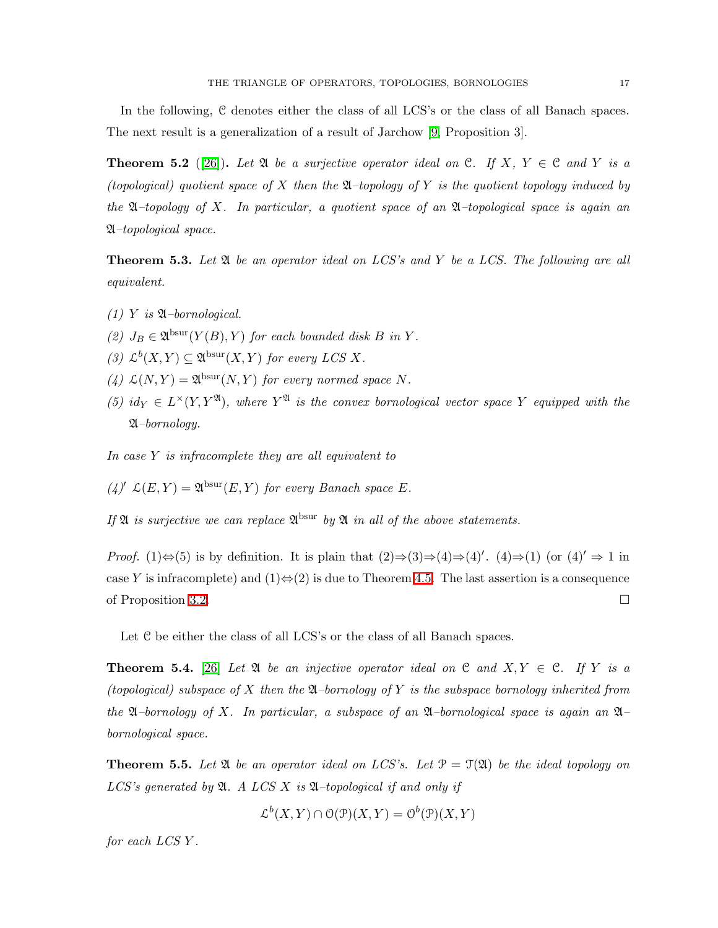In the following, C denotes either the class of all LCS's or the class of all Banach spaces. The next result is a generalization of a result of Jarchow [\[9,](#page-31-14) Proposition 3].

**Theorem 5.2** ([\[26\]](#page-32-0)). Let  $\mathfrak A$  be a surjective operator ideal on C. If X,  $Y \in \mathfrak C$  and Y is a *(topological) quotient space of* X *then the* A*–topology of* Y *is the quotient topology induced by the* A*–topology of* X*. In particular, a quotient space of an* A*–topological space is again an* A*–topological space.*

<span id="page-16-0"></span>Theorem 5.3. *Let* A *be an operator ideal on LCS's and* Y *be a LCS. The following are all equivalent.*

- $(1)$  *Y is*  $\mathfrak{A}$ *–bornological.*
- (2)  $J_B \in \mathfrak{A}^{\text{bsur}}(Y(B), Y)$  *for each bounded disk B in Y.*
- (3)  $\mathcal{L}^b(X, Y) \subseteq \mathfrak{A}^{\text{bsur}}(X, Y)$  *for every LCS X.*
- (4)  $\mathcal{L}(N, Y) = \mathfrak{A}^{\text{bsur}}(N, Y)$  *for every normed space* N.
- (5)  $id_Y \in L^{\times}(Y, Y^{\mathfrak{A}})$ , where  $Y^{\mathfrak{A}}$  *is the convex bornological vector space* Y *equipped with the* A*–bornology.*

*In case* Y *is infracomplete they are all equivalent to*

 $(4)'$   $\mathcal{L}(E, Y) = \mathfrak{A}^{\text{bsur}}(E, Y)$  *for every Banach space E*.

If  $\mathfrak A$  *is surjective we can replace*  $\mathfrak A^{\text{bsur}}$  *by*  $\mathfrak A$  *in all of the above statements.* 

*Proof.* (1) $\Leftrightarrow$ (5) is by definition. It is plain that  $(2) \Rightarrow (3) \Rightarrow (4) \Rightarrow (4)'$ .  $(4) \Rightarrow (1)$  (or  $(4)' \Rightarrow 1$  in case Y is infracomplete) and  $(1) \Leftrightarrow (2)$  is due to Theorem [4.5.](#page-12-0) The last assertion is a consequence of Proposition [3.2.](#page-8-1)

Let C be either the class of all LCS's or the class of all Banach spaces.

**Theorem 5.4.** [\[26\]](#page-32-0) Let  $\mathfrak{A}$  be an injective operator ideal on  $\mathfrak{C}$  and  $X, Y \in \mathfrak{C}$ . If Y is a *(topological) subspace of* X *then the* A*–bornology of* Y *is the subspace bornology inherited from the* A*–bornology of* X*. In particular, a subspace of an* A*–bornological space is again an* A*– bornological space.*

<span id="page-16-1"></span>**Theorem 5.5.** Let  $\mathfrak A$  be an operator ideal on LCS's. Let  $\mathfrak P = \mathfrak T(\mathfrak A)$  be the ideal topology on *LCS's generated by* A*. A LCS* X *is* A*–topological if and only if*

$$
\mathcal{L}^b(X, Y) \cap \mathcal{O}(\mathcal{P})(X, Y) = \mathcal{O}^b(\mathcal{P})(X, Y)
$$

*for each LCS* Y *.*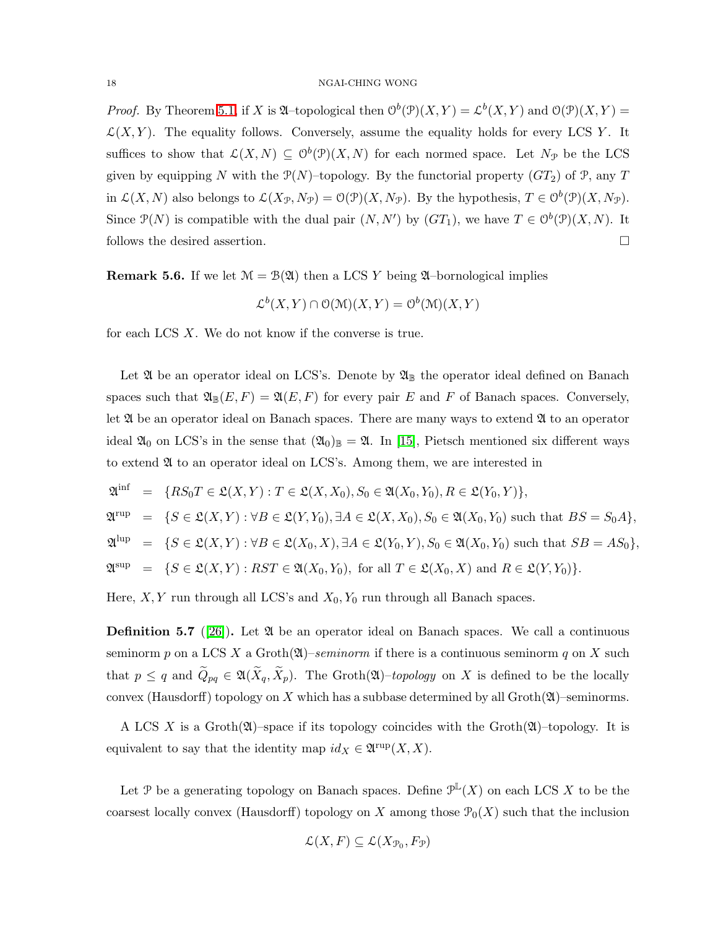*Proof.* By Theorem [5.1,](#page-15-1) if X is  $\mathfrak{A}$ -topological then  $\mathcal{O}^b(\mathcal{P})(X,Y) = \mathcal{L}^b(X,Y)$  and  $\mathcal{O}(\mathcal{P})(X,Y) =$  $\mathcal{L}(X, Y)$ . The equality follows. Conversely, assume the equality holds for every LCS Y. It suffices to show that  $\mathcal{L}(X, N) \subseteq \mathcal{O}^b(\mathcal{P})(X, N)$  for each normed space. Let  $N_{\mathcal{P}}$  be the LCS given by equipping N with the  $P(N)$ –topology. By the functorial property  $(GT_2)$  of P, any T in  $\mathcal{L}(X, N)$  also belongs to  $\mathcal{L}(X_{\mathcal{P}}, N_{\mathcal{P}}) = \mathcal{O}(\mathcal{P})(X, N_{\mathcal{P}})$ . By the hypothesis,  $T \in \mathcal{O}^b(\mathcal{P})(X, N_{\mathcal{P}})$ . Since  $\mathcal{P}(N)$  is compatible with the dual pair  $(N, N')$  by  $(GT_1)$ , we have  $T \in \mathcal{O}^b(\mathcal{P})(X, N)$ . It follows the desired assertion.

**Remark 5.6.** If we let  $\mathcal{M} = \mathcal{B}(\mathfrak{A})$  then a LCS Y being  $\mathfrak{A}$ -bornological implies

$$
\mathcal{L}^b(X, Y) \cap \mathcal{O}(\mathcal{M})(X, Y) = \mathcal{O}^b(\mathcal{M})(X, Y)
$$

for each LCS X. We do not know if the converse is true.

Let  $\mathfrak A$  be an operator ideal on LCS's. Denote by  $\mathfrak A_{\mathbb B}$  the operator ideal defined on Banach spaces such that  $\mathfrak{A}_{\mathbb{B}}(E,F) = \mathfrak{A}(E,F)$  for every pair E and F of Banach spaces. Conversely, let  $\mathfrak A$  be an operator ideal on Banach spaces. There are many ways to extend  $\mathfrak A$  to an operator ideal  $\mathfrak{A}_0$  on LCS's in the sense that  $(\mathfrak{A}_0)_\mathbb{B} = \mathfrak{A}$ . In [\[15\]](#page-31-2), Pietsch mentioned six different ways to extend A to an operator ideal on LCS's. Among them, we are interested in

 $\mathfrak{A}^{\inf}$  $i= \{RS_0T \in \mathfrak{L}(X,Y) : T \in \mathfrak{L}(X,X_0), S_0 \in \mathfrak{A}(X_0,Y_0), R \in \mathfrak{L}(Y_0,Y) \},$ 

$$
\mathfrak{A}^{\text{rup}} = \{ S \in \mathfrak{L}(X, Y) : \forall B \in \mathfrak{L}(Y, Y_0), \exists A \in \mathfrak{L}(X, X_0), S_0 \in \mathfrak{A}(X_0, Y_0) \text{ such that } BS = S_0A \},\
$$

 $\mathfrak{A}^{\text{lup}} = \{ S \in \mathfrak{L}(X,Y) : \forall B \in \mathfrak{L}(X_0,X), \exists A \in \mathfrak{L}(Y_0,Y), S_0 \in \mathfrak{A}(X_0,Y_0) \text{ such that } SB = AS_0 \},\$ 

$$
\mathfrak{A}^{\text{sup}} = \{ S \in \mathfrak{L}(X, Y) : RST \in \mathfrak{A}(X_0, Y_0), \text{ for all } T \in \mathfrak{L}(X_0, X) \text{ and } R \in \mathfrak{L}(Y, Y_0) \}.
$$

Here,  $X, Y$  run through all LCS's and  $X_0, Y_0$  run through all Banach spaces.

**Definition 5.7** ([\[26\]](#page-32-0)). Let  $\mathfrak{A}$  be an operator ideal on Banach spaces. We call a continuous seminorm p on a LCS X a Groth $(\mathfrak{A})$ –*seminorm* if there is a continuous seminorm q on X such that  $p \leq q$  and  $\widetilde{Q}_{pq} \in \mathfrak{A}(\widetilde{X}_q, \widetilde{X}_p)$ . The Groth $(\mathfrak{A})$ –*topology* on X is defined to be the locally convex (Hausdorff) topology on X which has a subbase determined by all  $Groth(\mathfrak{A})$ –seminorms.

A LCS X is a Groth $(\mathfrak{A})$ –space if its topology coincides with the Groth $(\mathfrak{A})$ –topology. It is equivalent to say that the identity map  $id_X \in \mathfrak{A}^{\text{rup}}(X,X)$ .

Let P be a generating topology on Banach spaces. Define  $\mathcal{P}^{\mathbb{L}}(X)$  on each LCS X to be the coarsest locally convex (Hausdorff) topology on X among those  $\mathcal{P}_0(X)$  such that the inclusion

$$
\mathcal{L}(X,F) \subseteq \mathcal{L}(X_{\mathcal{P}_0},F_{\mathcal{P}})
$$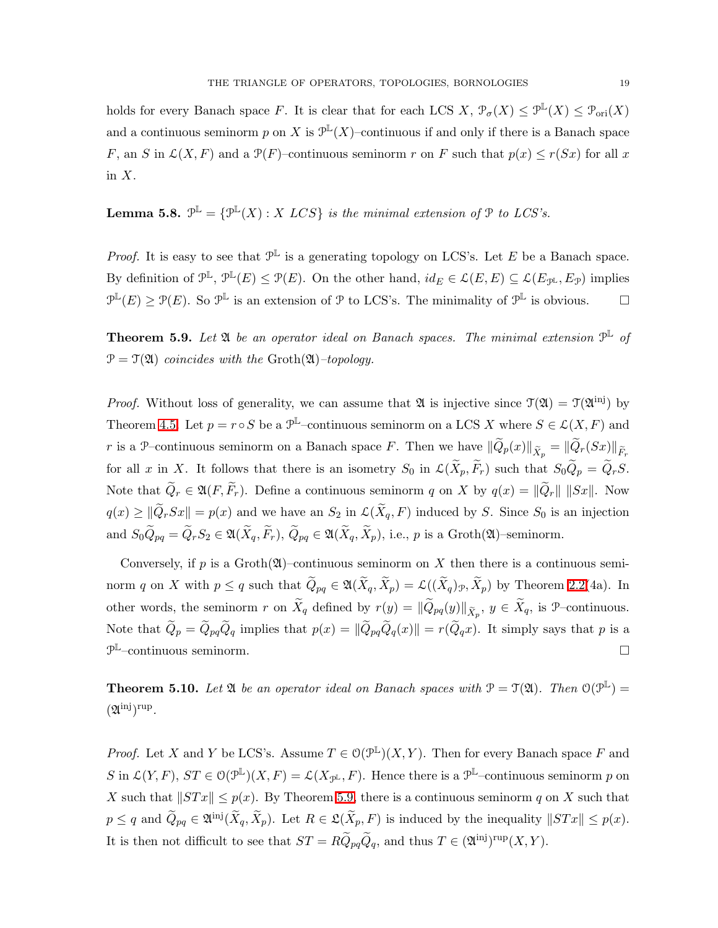holds for every Banach space F. It is clear that for each LCS X,  $\mathcal{P}_{\sigma}(X) \leq \mathcal{P}^{\mathbb{L}}(X) \leq \mathcal{P}_{\text{ori}}(X)$ and a continuous seminorm p on X is  $\mathcal{P}^{\mathbb{L}}(X)$ -continuous if and only if there is a Banach space F, an S in  $\mathcal{L}(X, F)$  and a  $\mathcal{P}(F)$ -continuous seminorm r on F such that  $p(x) \le r(Sx)$  for all x in  $X$ .

<span id="page-18-1"></span>**Lemma 5.8.**  $\mathcal{P}^{\mathbb{L}} = {\mathcal{P}^{\mathbb{L}}(X) : X \text{ } LCS}$  *is the minimal extension of*  $\mathcal{P}$  *to LCS's.* 

*Proof.* It is easy to see that  $\mathcal{P}^{\mathbb{L}}$  is a generating topology on LCS's. Let E be a Banach space. By definition of  $\mathcal{P}^{\mathbb{L}}, \mathcal{P}^{\mathbb{L}}(E) \leq \mathcal{P}(E)$ . On the other hand,  $id_E \in \mathcal{L}(E,E) \subseteq \mathcal{L}(E_{\mathcal{P}^{\mathbb{L}}},E_{\mathcal{P}})$  implies  $\mathcal{P}^{\mathbb{L}}(E) \ge \mathcal{P}(E)$ . So  $\mathcal{P}^{\mathbb{L}}$  is an extension of P to LCS's. The minimality of  $\mathcal{P}^{\mathbb{L}}$  is obvious.  $\Box$ 

<span id="page-18-0"></span>**Theorem 5.9.** Let  $\mathfrak A$  be an operator ideal on Banach spaces. The minimal extension  $\mathfrak P^{\mathbb L}$  of  $\mathcal{P} = \mathcal{T}(\mathfrak{A})$  *coincides with the* Groth $(\mathfrak{A})$ *–topology.* 

*Proof.* Without loss of generality, we can assume that  $\mathfrak A$  is injective since  $\mathfrak T(\mathfrak A) = \mathfrak T(\mathfrak A^{\rm inj})$  by Theorem [4.5.](#page-12-0) Let  $p = r \circ S$  be a  $\mathcal{P}^{\mathbb{L}}$ -continuous seminorm on a LCS X where  $S \in \mathcal{L}(X, F)$  and r is a P–continuous seminorm on a Banach space F. Then we have  $\|\widetilde{Q}_p(x)\|_{\widetilde{X}_p} = \|\widetilde{Q}_r(Sx)\|_{\widetilde{F}_r}$ for all x in X. It follows that there is an isometry  $S_0$  in  $\mathcal{L}(\widetilde{X}_p, \widetilde{F}_r)$  such that  $S_0\widetilde{Q}_p = \widetilde{Q}_rS$ . Note that  $\widetilde{Q}_r \in \mathfrak{A}(F, \widetilde{F}_r)$ . Define a continuous seminorm q on X by  $q(x) = ||\widetilde{Q}_r|| ||Sx||$ . Now  $q(x) \geq ||\widetilde{Q}_r Sx|| = p(x)$  and we have an  $S_2$  in  $\mathcal{L}(\widetilde{X}_q, F)$  induced by S. Since  $S_0$  is an injection and  $S_0\widetilde{Q}_{pq} = \widetilde{Q}_rS_2 \in \mathfrak{A}(\widetilde{X}_q, \widetilde{F}_r), \widetilde{Q}_{pq} \in \mathfrak{A}(\widetilde{X}_q, \widetilde{X}_p)$ , i.e., p is a Groth $(\mathfrak{A})$ –seminorm.

Conversely, if p is a Groth $(\mathfrak{A})$ –continuous seminorm on X then there is a continuous seminorm q on X with  $p \leq q$  such that  $\widetilde{Q}_{pq} \in \mathfrak{A}(\widetilde{X}_q, \widetilde{X}_p) = \mathcal{L}((\widetilde{X}_q)_p, \widetilde{X}_p)$  by Theorem [2.2\(](#page-5-1)4a). In other words, the seminorm r on  $\widetilde{X}_q$  defined by  $r(y) = ||\widetilde{Q}_{pq}(y)||_{\widetilde{X}_p}$ ,  $y \in \widetilde{X}_q$ , is  $\mathcal{P}$ -continuous. Note that  $\widetilde{Q}_p = \widetilde{Q}_{pq}\widetilde{Q}_q$  implies that  $p(x) = ||\widetilde{Q}_{pq}\widetilde{Q}_q(x)|| = r(\widetilde{Q}_q x)$ . It simply says that p is a  $\mathcal{P}^{\mathbb{L}}$ -continuous seminorm.

<span id="page-18-2"></span>**Theorem 5.10.** Let  $\mathfrak{A}$  be an operator ideal on Banach spaces with  $\mathcal{P} = \mathcal{T}(\mathfrak{A})$ . Then  $\mathcal{O}(\mathcal{P}^{\mathbb{L}})$  $(21^{\text{inj}})^{\text{rup}}$ .

*Proof.* Let X and Y be LCS's. Assume  $T \in O(\mathcal{P}^{\mathbb{L}})(X, Y)$ . Then for every Banach space F and S in  $\mathcal{L}(Y, F), ST \in \mathcal{O}(\mathcal{P}^{\mathbb{L}})(X, F) = \mathcal{L}(X_{\mathcal{P}^{\mathbb{L}}}, F)$ . Hence there is a  $\mathcal{P}^{\mathbb{L}}$ -continuous seminorm p on X such that  $||STx|| \leq p(x)$ . By Theorem [5.9,](#page-18-0) there is a continuous seminorm q on X such that  $p \leq q$  and  $\widetilde{Q}_{pq} \in \mathfrak{A}^{\text{inj}}(\widetilde{X}_q, \widetilde{X}_p)$ . Let  $R \in \mathfrak{L}(\widetilde{X}_p, F)$  is induced by the inequality  $||STx|| \leq p(x)$ . It is then not difficult to see that  $ST = R\tilde{Q}_{pq}\tilde{Q}_q$ , and thus  $T \in (\mathfrak{A}^{\text{inj}})^{\text{rup}}(X, Y)$ .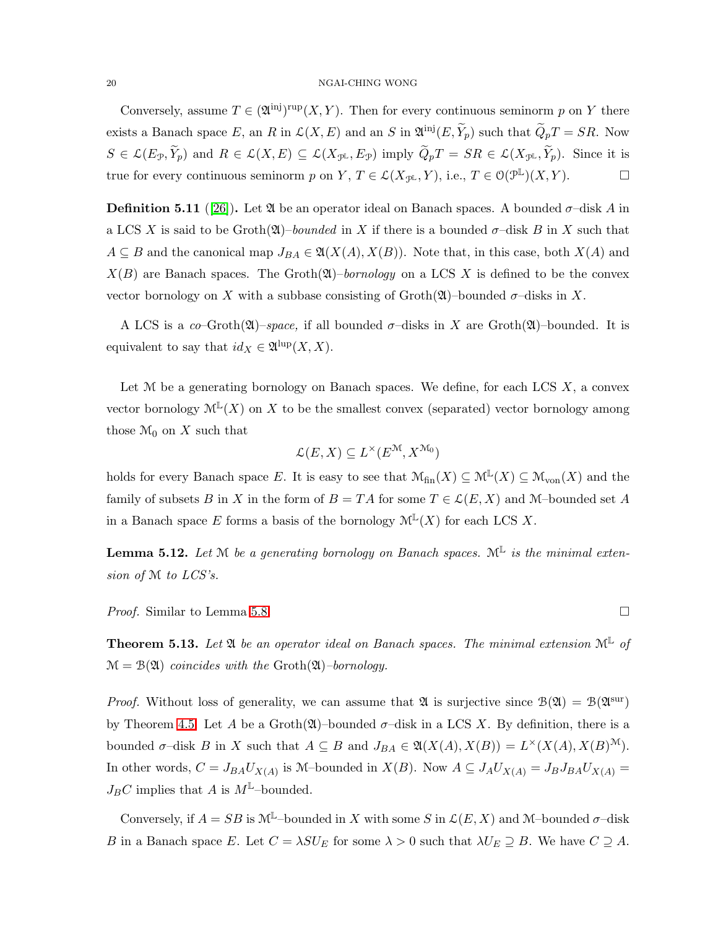#### 20 NGAI-CHING WONG

Conversely, assume  $T \in (\mathfrak{A}^{\{inj\}})^{\text{rup}}(X,Y)$ . Then for every continuous seminorm p on Y there exists a Banach space E, an R in  $\mathcal{L}(X, E)$  and an S in  $\mathfrak{A}^{\text{inj}}(E, \widetilde{Y}_p)$  such that  $\widetilde{Q}_pT = SR$ . Now  $S \in \mathcal{L}(E_{\mathcal{P}}, \widetilde{Y}_{p})$  and  $R \in \mathcal{L}(X, E) \subseteq \mathcal{L}(X_{\mathcal{P}^{\mathbb{L}}}, E_{\mathcal{P}})$  imply  $\widetilde{Q}_{p}T = SR \in \mathcal{L}(X_{\mathcal{P}^{\mathbb{L}}}, \widetilde{Y}_{p})$ . Since it is true for every continuous seminorm p on Y,  $T \in \mathcal{L}(X_{\mathcal{P}^{\mathbb{L}}}, Y)$ , i.e.,  $T \in \mathcal{O}(\mathcal{P}^{\mathbb{L}})(X, Y)$ .

**Definition 5.11** ([\[26\]](#page-32-0)). Let  $\mathfrak{A}$  be an operator ideal on Banach spaces. A bounded  $\sigma$ -disk A in a LCS X is said to be  $\text{Groth}(\mathfrak{A})$ –*bounded* in X if there is a bounded  $\sigma$ –disk B in X such that  $A \subseteq B$  and the canonical map  $J_{BA} \in \mathfrak{A}(X(A), X(B))$ . Note that, in this case, both  $X(A)$  and  $X(B)$  are Banach spaces. The Groth $(\mathfrak{A})$ –*bornology* on a LCS X is defined to be the convex vector bornology on X with a subbase consisting of  $\operatorname{Groth}(\mathfrak{A})$ –bounded  $\sigma$ –disks in X.

A LCS is a *co*-Groth $(\mathfrak{A})$ –*space*, if all bounded  $\sigma$ –disks in X are Groth $(\mathfrak{A})$ –bounded. It is equivalent to say that  $id_X \in \mathfrak{A}^{\text{lup}}(X,X)$ .

Let  $M$  be a generating bornology on Banach spaces. We define, for each LCS  $X$ , a convex vector bornology  $\mathcal{M}^{\mathbb{L}}(X)$  on X to be the smallest convex (separated) vector bornology among those  $\mathcal{M}_0$  on X such that

$$
\mathcal{L}(E, X) \subseteq L^{\times}(E^{\mathcal{M}}, X^{\mathcal{M}_0})
$$

holds for every Banach space E. It is easy to see that  $\mathcal{M}_{fin}(X) \subseteq \mathcal{M}^{\mathbb{L}}(X) \subseteq \mathcal{M}_{von}(X)$  and the family of subsets B in X in the form of  $B = TA$  for some  $T \in \mathcal{L}(E, X)$  and M–bounded set A in a Banach space E forms a basis of the bornology  $\mathcal{M}^{\mathbb{L}}(X)$  for each LCS X.

**Lemma 5.12.** Let  $M$  be a generating bornology on Banach spaces.  $M^L$  is the minimal exten*sion of* M *to LCS's.*

<span id="page-19-0"></span>*Proof.* Similar to Lemma [5.8.](#page-18-1) □

Theorem 5.13. *Let* A *be an operator ideal on Banach spaces. The minimal extension* M<sup>L</sup> *of*  $\mathcal{M} = \mathcal{B}(\mathfrak{A})$  *coincides with the* Groth $(\mathfrak{A})$ *–bornology.* 

*Proof.* Without loss of generality, we can assume that  $\mathfrak{A}$  is surjective since  $\mathcal{B}(\mathfrak{A}) = \mathcal{B}(\mathfrak{A}^{\text{sur}})$ by Theorem [4.5.](#page-12-0) Let A be a Groth $(\mathfrak{A})$ –bounded  $\sigma$ –disk in a LCS X. By definition, there is a bounded  $\sigma$ -disk B in X such that  $A \subseteq B$  and  $J_{BA} \in \mathfrak{A}(X(A), X(B)) = L^{\times}(X(A), X(B)^{\mathcal{M}})$ . In other words,  $C = J_{BA}U_{X(A)}$  is M-bounded in  $X(B)$ . Now  $A \subseteq J_AU_{X(A)} = J_BJ_{BA}U_{X(A)} =$  $J_B C$  implies that A is  $M^{\mathbb{L}}$ -bounded.

Conversely, if  $A = SB$  is  $\mathcal{M}^{\mathbb{L}}$ -bounded in X with some S in  $\mathcal{L}(E, X)$  and M-bounded  $\sigma$ -disk B in a Banach space E. Let  $C = \lambda SU_E$  for some  $\lambda > 0$  such that  $\lambda U_E \supseteq B$ . We have  $C \supseteq A$ .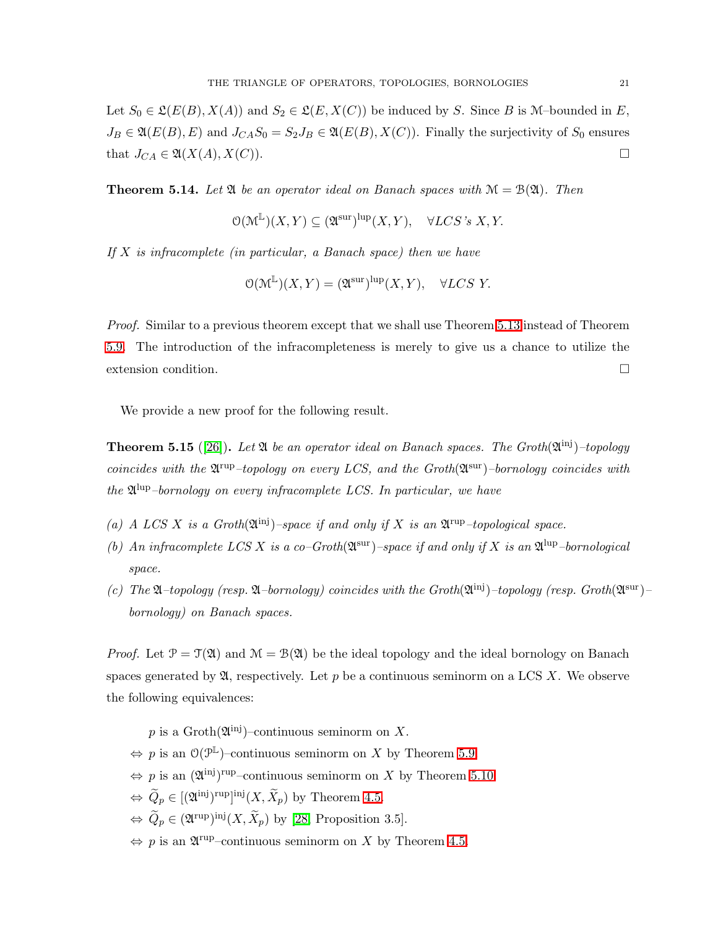Let  $S_0 \in \mathfrak{L}(E(B), X(A))$  and  $S_2 \in \mathfrak{L}(E, X(C))$  be induced by S. Since B is M-bounded in E,  $J_B \in \mathfrak{A}(E(B), E)$  and  $J_{CA}S_0 = S_2J_B \in \mathfrak{A}(E(B), X(C))$ . Finally the surjectivity of  $S_0$  ensures that  $J_{CA} \in \mathfrak{A}(X(A), X(C)).$ 

<span id="page-20-0"></span>**Theorem 5.14.** Let  $\mathfrak{A}$  be an operator ideal on Banach spaces with  $\mathcal{M} = \mathcal{B}(\mathfrak{A})$ . Then

$$
\mathcal{O}(\mathcal{M}^{\mathbb{L}})(X, Y) \subseteq (\mathfrak{A}^{\text{sur}})^{\text{lap}}(X, Y), \quad \forall LCS \text{'s } X, Y.
$$

*If* X *is infracomplete (in particular, a Banach space) then we have*

$$
\mathcal{O}(\mathcal{M}^{\mathbb{L}})(X, Y) = (\mathfrak{A}^{\text{sur}})^{\text{lup}}(X, Y), \quad \forall LCS \ Y.
$$

*Proof.* Similar to a previous theorem except that we shall use Theorem [5.13](#page-19-0) instead of Theorem [5.9.](#page-18-0) The introduction of the infracompleteness is merely to give us a chance to utilize the extension condition.

We provide a new proof for the following result.

<span id="page-20-1"></span>**Theorem 5.15** ([\[26\]](#page-32-0)). Let  $\mathfrak A$  be an operator ideal on Banach spaces. The Groth $(\mathfrak A^{\text{inj}})$ -topology coincides with the  $\mathfrak{A}^{\text{rup}}$ -topology on every LCS, and the Groth $(\mathfrak{A}^{\text{sur}})$ -bornology coincides with *the* A lup*–bornology on every infracomplete LCS. In particular, we have*

- (a) A LCS X is a Groth $(\mathfrak{A}^{\{inj\}})$ –space if and only if X is an  $\mathfrak{A}^{\{sup\}}$ –topological space.
- (b) An infracomplete LCS X is a co–Groth $(\mathfrak{A}^{\text{sur}})$ –space if and only if X is an  $\mathfrak{A}^{\text{lup}}$ –bornological *space.*
- (c) The  $\mathfrak{A}-$ topology (resp.  $\mathfrak{A}-$ bornology) coincides with the Groth $(\mathfrak{A}^{\text{inj}})-$ topology (resp. Groth $(\mathfrak{A}^{\text{sur}})$ *bornology) on Banach spaces.*

*Proof.* Let  $\mathcal{P} = \mathcal{T}(\mathfrak{A})$  and  $\mathcal{M} = \mathcal{B}(\mathfrak{A})$  be the ideal topology and the ideal bornology on Banach spaces generated by  $\mathfrak{A}$ , respectively. Let p be a continuous seminorm on a LCS X. We observe the following equivalences:

p is a  $\mathrm{Groth}(\mathfrak{A}^{\text{inj}})$ -continuous seminorm on X.

- $\Leftrightarrow$  p is an  $O(\mathcal{P}^{\mathbb{L}})$ -continuous seminorm on X by Theorem [5.9.](#page-18-0)
- $\Leftrightarrow$  p is an  $(\mathfrak{A}^{\text{inj}})^{\text{rup}}$ -continuous seminorm on X by Theorem [5.10.](#page-18-2)
- $\Leftrightarrow \widetilde{Q}_p \in [(\mathfrak{A}^{\text{inj}})^{\text{rup}}]^{\text{inj}}(X, \widetilde{X}_p)$  by Theorem [4.5.](#page-12-0)
- $\Leftrightarrow \ Q_p \in (\mathfrak{A}^{\text{rup}})^{\text{inj}}(X, X_p)$  by [\[28,](#page-32-12) Proposition 3.5].
- $\Leftrightarrow$  p is an  $\mathfrak{A}^{\text{rup}}$ -continuous seminorm on X by Theorem [4.5.](#page-12-0)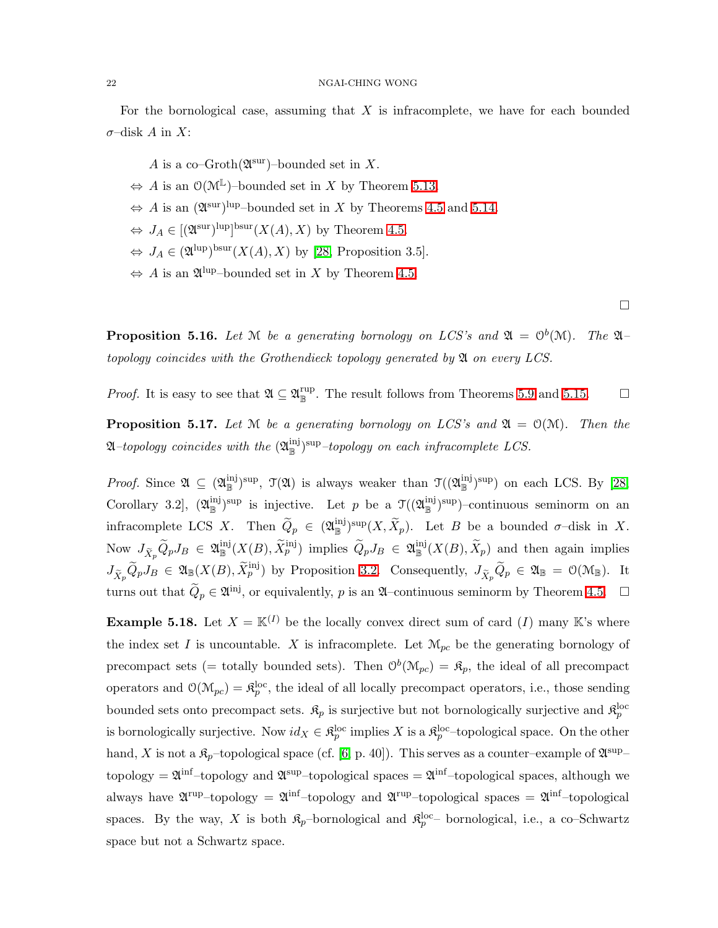#### 22 NGAI-CHING WONG

For the bornological case, assuming that  $X$  is infracomplete, we have for each bounded  $\sigma$ –disk A in X:

- A is a co-Groth $(\mathfrak{A}^{\text{sur}})$ -bounded set in X.
- $\Leftrightarrow$  A is an  $O(\mathcal{M}^{\mathbb{L}})$ -bounded set in X by Theorem [5.13.](#page-19-0)
- $\Leftrightarrow$  A is an  $(\mathfrak{A}^{\text{sur}})^{\text{lup}}$ -bounded set in X by Theorems [4.5](#page-12-0) and [5.14.](#page-20-0)
- $\Leftrightarrow J_A \in [(\mathfrak{A}^{\text{sur}})^{\text{lup}}]^{\text{bsur}}(X(A), X)$  by Theorem [4.5.](#page-12-0)
- $\Leftrightarrow J_A \in (\mathfrak{A}^{\text{lup}})^{\text{bsur}}(X(A), X)$  by [\[28,](#page-32-12) Proposition 3.5].
- $\Leftrightarrow$  A is an  $\mathfrak{A}^{\text{lup}}$ -bounded set in X by Theorem [4.5.](#page-12-0)

 $\Box$ 

<span id="page-21-1"></span>**Proposition 5.16.** Let M be a generating bornology on LCS's and  $\mathfrak{A} = \mathbb{O}^b(\mathcal{M})$ . The  $\mathfrak{A}$ *topology coincides with the Grothendieck topology generated by* A *on every LCS.*

<span id="page-21-0"></span>*Proof.* It is easy to see that  $\mathfrak{A} \subseteq \mathfrak{A}_{\mathbb{R}}^{rup}$ . The result follows from Theorems [5.9](#page-18-0) and [5.15.](#page-20-1)  $\Box$ 

**Proposition 5.17.** Let  $M$  be a generating bornology on LCS's and  $\mathfrak{A} = \mathcal{O}(M)$ . Then the  $\mathfrak A$ *–topology coincides with the*  $(\mathfrak A_{\mathbb B}^{\rm inj})^{\rm sup}$ *–topology on each infracomplete LCS.* 

*Proof.* Since  $\mathfrak{A} \subseteq (\mathfrak{A}_{\mathbb{B}}^{\{inj\}})^{\sup}$ ,  $\mathfrak{T}(\mathfrak{A})$  is always weaker than  $\mathfrak{T}((\mathfrak{A}_{\mathbb{B}}^{\{inj\}})^{\sup})$  on each LCS. By [\[28,](#page-32-12) Corollary 3.2,  $(\mathfrak{A}_{\mathbb{B}}^{\text{inj}})$ <sup>sup</sup> is injective. Let p be a  $\mathfrak{T}((\mathfrak{A}_{\mathbb{B}}^{\text{inj}})$ <sup>sup</sup>)-continuous seminorm on an infracomplete LCS X. Then  $\widetilde{Q}_p \in (\mathfrak{A}_{\mathbb{B}}^{\text{inj}})^{\text{sup}}(X, \widetilde{X}_p)$ . Let B be a bounded  $\sigma$ -disk in X. Now  $J_{\tilde{X}_p} \tilde{Q}_p J_B \in \mathfrak{A}_{\mathbb{B}}^{\text{inj}}(X(B), \tilde{X}_p^{\text{inj}})$  implies  $\tilde{Q}_p J_B \in \mathfrak{A}_{\mathbb{B}}^{\text{inj}}(X(B), \tilde{X}_p)$  and then again implies  $J_{\tilde{X}_p} \tilde{Q}_p J_B \in \mathfrak{A}_{\mathbb{B}}(X(B), \tilde{X}_p^{\text{inj}})$  by Proposition [3.2.](#page-8-1) Consequently,  $J_{\tilde{X}_p} \tilde{Q}_p \in \mathfrak{A}_{\mathbb{B}} = \mathfrak{O}(\mathfrak{M}_{\mathbb{B}})$ . It turns out that  $\tilde{Q}_p \in \mathfrak{A}^{(n)}$ , or equivalently, p is an  $\mathfrak{A}$ -continuous seminorm by Theorem [4.5.](#page-12-0)  $\Box$ 

**Example 5.18.** Let  $X = \mathbb{K}^{(I)}$  be the locally convex direct sum of card (I) many K's where the index set I is uncountable. X is infracomplete. Let  $\mathcal{M}_{pc}$  be the generating bornology of precompact sets (= totally bounded sets). Then  $\mathcal{O}^b(\mathcal{M}_{pc}) = \mathfrak{K}_{p}$ , the ideal of all precompact operators and  $\mathcal{O}(\mathcal{M}_{pc}) = \mathfrak{K}_{p}^{\text{loc}}$ , the ideal of all locally precompact operators, i.e., those sending bounded sets onto precompact sets.  $\mathfrak{K}_p$  is surjective but not bornologically surjective and  $\mathfrak{K}_p^{\text{loc}}$ is bornologically surjective. Now  $id_X \in \mathfrak{K}_p^{\rm loc}$  implies X is a  $\mathfrak{K}_p^{\rm loc}$ -topological space. On the other hand, X is not a  $\mathfrak{K}_p$ -topological space (cf. [\[6,](#page-31-13) p. 40]). This serves as a counter–example of  $\mathfrak{A}^{\text{sup}}$ – topology =  $\mathfrak{A}^{\text{inf}}$ -topology and  $\mathfrak{A}^{\text{sup}}$ -topological spaces =  $\mathfrak{A}^{\text{inf}}$ -topological spaces, although we always have  $\mathfrak{A}^{\text{rup}}$ -topology =  $\mathfrak{A}^{\text{inf}}$ -topology and  $\mathfrak{A}^{\text{rup}}$ -topological spaces =  $\mathfrak{A}^{\text{inf}}$ -topological spaces. By the way, X is both  $\mathfrak{K}_p$ -bornological and  $\mathfrak{K}_p^{\text{loc}}$ - bornological, i.e., a co-Schwartz space but not a Schwartz space.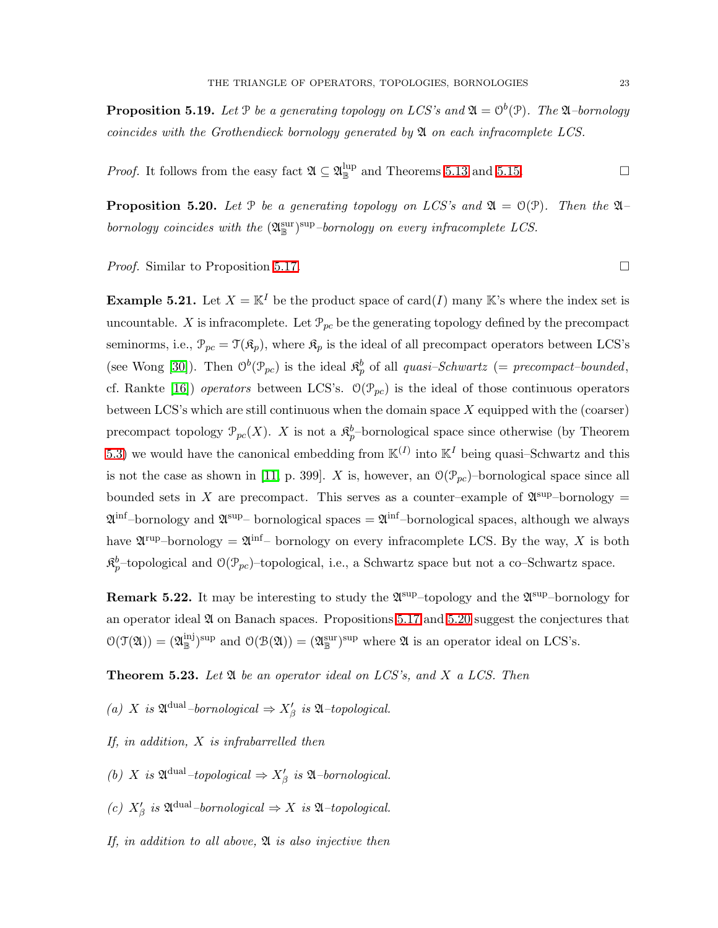**Proposition 5.19.** Let  $P$  be a generating topology on LCS's and  $\mathfrak{A} = \mathcal{O}^b(\mathcal{P})$ . The  $\mathfrak{A}$ -bornology *coincides with the Grothendieck bornology generated by* A *on each infracomplete LCS.*

<span id="page-22-0"></span>*Proof.* It follows from the easy fact  $\mathfrak{A} \subseteq \mathfrak{A}_{\mathbb{B}}^{\text{lup}}$  and Theorems [5.13](#page-19-0) and [5.15.](#page-20-1)

**Proposition 5.20.** Let P be a generating topology on LCS's and  $\mathfrak{A} = \mathcal{O}(\mathfrak{P})$ . Then the  $\mathfrak{A}$ *bornology coincides with the*  $(\mathfrak{A}_\mathbb{R}^{\text{sur}})$ <sup>sup</sup>–bornology on every infracomplete LCS.

*Proof.* Similar to Proposition [5.17.](#page-21-0) □

**Example 5.21.** Let  $X = \mathbb{K}^I$  be the product space of card(I) many K's where the index set is uncountable. X is infracomplete. Let  $\mathcal{P}_{pc}$  be the generating topology defined by the precompact seminorms, i.e.,  $\mathcal{P}_{pc} = \mathcal{T}(\mathfrak{K}_p)$ , where  $\mathfrak{K}_p$  is the ideal of all precompact operators between LCS's (see Wong [\[30\]](#page-32-9)). Then  $O^b(\mathcal{P}_{pc})$  is the ideal  $\mathfrak{K}^b_p$  of all *quasi-Schwartz* (= *precompact-bounded*, cf. Rankte [\[16\]](#page-31-11)) *operators* between LCS's.  $\mathcal{O}(\mathcal{P}_{pc})$  is the ideal of those continuous operators between LCS's which are still continuous when the domain space  $X$  equipped with the (coarser) precompact topology  $\mathcal{P}_{pc}(X)$ . X is not a  $\mathfrak{K}_p^b$ -bornological space since otherwise (by Theorem [5.3\)](#page-16-0) we would have the canonical embedding from  $\mathbb{K}^{(I)}$  into  $\mathbb{K}^{I}$  being quasi-Schwartz and this is not the case as shown in [\[11,](#page-31-3) p. 399]. X is, however, an  $\mathcal{O}(\mathcal{P}_{pc})$ -bornological space since all bounded sets in X are precompact. This serves as a counter-example of  $\mathfrak{A}^{\text{sup}}$ -bornology =  $\mathfrak{A}^{\inf}$ -bornology and  $\mathfrak{A}^{\sup}$ - bornological spaces =  $\mathfrak{A}^{\inf}$ -bornological spaces, although we always have  $\mathfrak{A}^{\text{rup}}$ -bornology =  $\mathfrak{A}^{\text{inf}}$ - bornology on every infracomplete LCS. By the way, X is both  $\mathfrak{K}_p^b$ -topological and  $\mathfrak{O}(\mathcal{P}_{pc})$ -topological, i.e., a Schwartz space but not a co–Schwartz space.

**Remark 5.22.** It may be interesting to study the  $\mathfrak{A}^{\text{sup}}$ -topology and the  $\mathfrak{A}^{\text{sup}}$ -bornology for an operator ideal  $\mathfrak A$  on Banach spaces. Propositions [5.17](#page-21-0) and [5.20](#page-22-0) suggest the conjectures that  $\mathcal{O}(\mathcal{T}(\mathfrak{A})) = (\mathfrak{A}_{\mathbb{B}}^{\text{inj}})^{\text{sup}}$  and  $\mathcal{O}(\mathcal{B}(\mathfrak{A})) = (\mathfrak{A}_{\mathbb{B}}^{\text{sup}})^{\text{sup}}$  where  $\mathfrak{A}$  is an operator ideal on LCS's.

<span id="page-22-1"></span>Theorem 5.23. *Let* A *be an operator ideal on LCS's, and* X *a LCS. Then*

 $(a)$  *X* is  $\mathfrak{A}^{\text{dual}}$ *–bornological*  $\Rightarrow$   $X'_{\beta}$  is  $\mathfrak{A}$ *–topological.* 

- *If, in addition,* X *is infrabarrelled then*
- *(b)* X is  $\mathfrak{A}^{\text{dual}}$ -topological  $\Rightarrow X'_{\beta}$  is  $\mathfrak{A}$ -bornological.
- *(c)*  $X'_{\beta}$  *is*  $\mathfrak{A}^{\text{dual}}$ *–bornological*  $\Rightarrow$  *X is*  $\mathfrak{A}$ *–topological.*
- *If, in addition to all above,* A *is also injective then*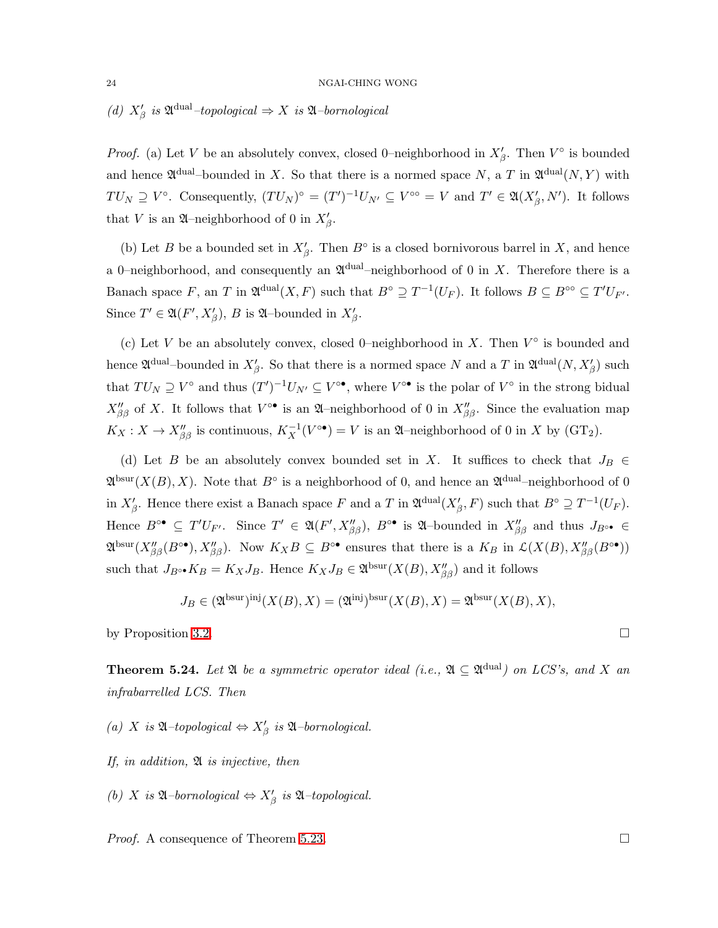# *(d)*  $X'_{\beta}$  *is*  $\mathfrak{A}^{\text{dual}}$ *–topological*  $\Rightarrow$  X *is*  $\mathfrak{A}$ *–bornological*

*Proof.* (a) Let V be an absolutely convex, closed 0-neighborhood in  $X'_{\beta}$ . Then  $V^{\circ}$  is bounded and hence  $\mathfrak{A}^{\text{dual}}$ -bounded in X. So that there is a normed space N, a T in  $\mathfrak{A}^{\text{dual}}(N,Y)$  with  $TU_N \supseteq V^{\circ}$ . Consequently,  $(TU_N)^{\circ} = (T')^{-1}U_{N'} \subseteq V^{\circ\circ} = V$  and  $T' \in \mathfrak{A}(X'_{\beta}, N')$ . It follows that V is an  $\mathfrak A$ -neighborhood of 0 in  $X'_\beta$ .

(b) Let B be a bounded set in  $X'_{\beta}$ . Then  $B^{\circ}$  is a closed bornivorous barrel in X, and hence a 0-neighborhood, and consequently an  $\mathfrak{A}^{\text{dual}}$ -neighborhood of 0 in X. Therefore there is a Banach space F, an T in  $\mathfrak{A}^{\text{dual}}(X,F)$  such that  $B^{\circ} \supseteq T^{-1}(U_F)$ . It follows  $B \subseteq B^{\circ\circ} \subseteq T'U_{F'}$ . Since  $T' \in \mathfrak{A}(F', X'_{\beta}), B$  is  $\mathfrak{A}\text{-bounded}$  in  $X'_{\beta}$ .

(c) Let V be an absolutely convex, closed 0-neighborhood in X. Then  $V^{\circ}$  is bounded and hence  $\mathfrak{A}^{\text{dual}}$ -bounded in  $X'_{\beta}$ . So that there is a normed space N and a T in  $\mathfrak{A}^{\text{dual}}(N, X'_{\beta})$  such that  $TU_N \supseteq V^{\circ}$  and thus  $(T')^{-1}U_{N'} \subseteq V^{\circ \bullet}$ , where  $V^{\circ \bullet}$  is the polar of  $V^{\circ}$  in the strong bidual  $X''_{\beta\beta}$  of X. It follows that  $V^{\circ\bullet}$  is an  $\mathfrak{A}-$ neighborhood of 0 in  $X''_{\beta\beta}$ . Since the evaluation map  $K_X: X \to X''_{\beta\beta}$  is continuous,  $K_X^{-1}(V^{\circ \bullet}) = V$  is an  $\mathfrak{A}$ -neighborhood of 0 in X by (GT<sub>2</sub>).

(d) Let B be an absolutely convex bounded set in X. It suffices to check that  $J_B \in$  $\mathfrak{A}^{\text{bsur}}(X(B),X)$ . Note that  $B^{\circ}$  is a neighborhood of 0, and hence an  $\mathfrak{A}^{\text{dual}}$ -neighborhood of 0 in  $X'_{\beta}$ . Hence there exist a Banach space F and a T in  $\mathfrak{A}^{\text{dual}}(X'_{\beta}, F)$  such that  $B^{\circ} \supseteq T^{-1}(U_F)$ . Hence  $B^{\circ\bullet} \subseteq T'U_{F'}$ . Since  $T' \in \mathfrak{A}(F', X''_{\beta\beta}), B^{\circ\bullet}$  is  $\mathfrak{A}\text{-bounded}$  in  $X''_{\beta\beta}$  and thus  $J_{B^{\circ\bullet}} \in$  $\mathfrak{A}^{\text{bsur}}(X''_{\beta\beta}(B^{\circ\bullet}), X''_{\beta\beta}).$  Now  $K_XB\subseteq B^{\circ\bullet}$  ensures that there is a  $K_B$  in  $\mathcal{L}(X(B), X''_{\beta\beta}(B^{\circ\bullet}))$ such that  $J_{B} \circ \bullet K_B = K_X J_B$ . Hence  $K_X J_B \in \mathfrak{A}^{\text{bsur}}(X(B), X''_{\beta\beta})$  and it follows

$$
J_B \in (\mathfrak{A}^{\text{bsur}})^{\text{inj}}(X(B), X) = (\mathfrak{A}^{\text{inj}})^{\text{bsur}}(X(B), X) = \mathfrak{A}^{\text{bsur}}(X(B), X),
$$

by Proposition [3.2.](#page-8-1)

**Theorem 5.24.** Let  $\mathfrak A$  be a symmetric operator ideal (i.e.,  $\mathfrak A \subseteq \mathfrak A^{\text{dual}}$ ) on LCS's, and X an *infrabarrelled LCS. Then*

*(a)* X *is* A*–topological* ⇔ X′ β *is* A*–bornological.*

*If, in addition,* A *is injective, then*

*(b)* X is  $\mathfrak{A}$ –bornological  $\Leftrightarrow X'_{\beta}$  is  $\mathfrak{A}$ –topological.

<span id="page-23-0"></span>*Proof.* A consequence of Theorem [5.23.](#page-22-1) □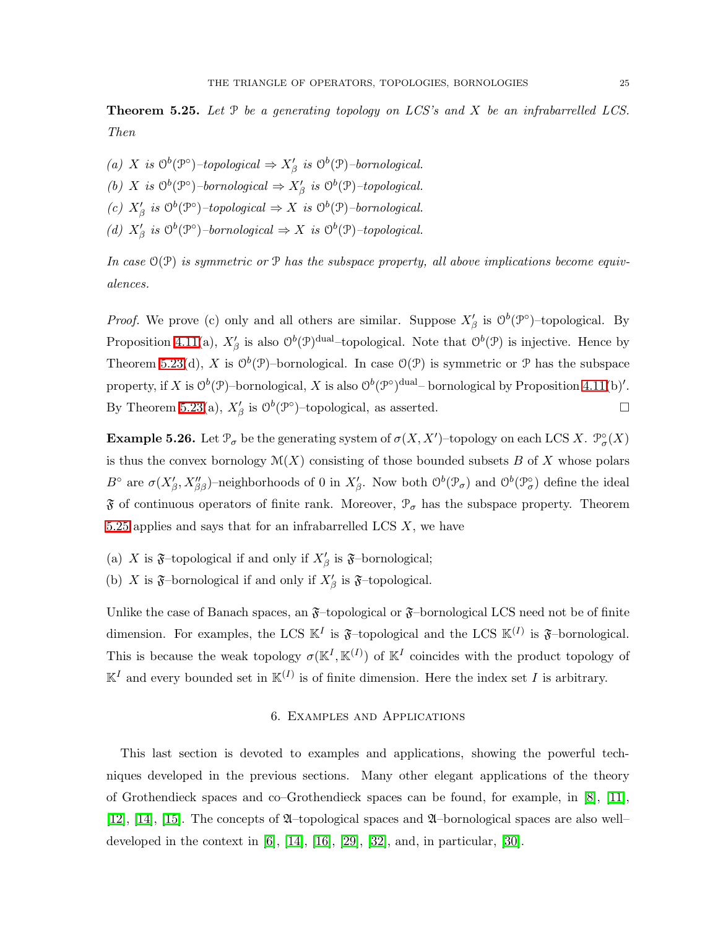Theorem 5.25. *Let* P *be a generating topology on LCS's and* X *be an infrabarrelled LCS. Then*

- (a) *X* is  $O^b(\mathcal{P}^{\circ})$ -topological  $\Rightarrow X'_{\beta}$  is  $O^b(\mathcal{P})$ -bornological.
- (b) X is  $O^b(\mathcal{P}^{\circ})$ -bornological  $\Rightarrow X'_{\beta}$  is  $O^b(\mathcal{P})$ -topological.
- (c)  $X'_{\beta}$  *is*  $\mathcal{O}^b(\mathcal{P}^{\circ})$ *–topological*  $\Rightarrow$  X *is*  $\mathcal{O}^b(\mathcal{P})$ *–bornological.*
- (*d*)  $X'_{\beta}$  is  $O^b(\mathcal{P}^{\circ})$ -bornological  $\Rightarrow X$  is  $O^b(\mathcal{P})$ -topological.

*In case* O(P) *is symmetric or* P *has the subspace property, all above implications become equivalences.*

*Proof.* We prove (c) only and all others are similar. Suppose  $X'_{\beta}$  is  $\mathcal{O}^b(\mathcal{P}^{\circ})$ -topological. By Proposition [4.11\(](#page-14-0)a),  $X'_{\beta}$  is also  $\mathcal{O}^b(\mathcal{P})^{\text{dual}}$ -topological. Note that  $\mathcal{O}^b(\mathcal{P})$  is injective. Hence by Theorem [5.23\(](#page-22-1)d), X is  $\mathcal{O}^b(\mathcal{P})$ -bornological. In case  $\mathcal{O}(\mathcal{P})$  is symmetric or  $\mathcal P$  has the subspace property, if X is  $\mathcal{O}^b(\mathcal{P})$ -bornological, X is also  $\mathcal{O}^b(\mathcal{P}^{\circ})^{\text{dual}}$ -bornological by Proposition [4.11\(](#page-14-0)b)'. By Theorem [5.23\(](#page-22-1)a),  $X'_{\beta}$  is  $O^b(\mathcal{P}^{\circ})$ -topological, as asserted.

**Example 5.26.** Let  $\mathcal{P}_{\sigma}$  be the generating system of  $\sigma(X, X')$ -topology on each LCS X.  $\mathcal{P}_{\sigma}^{\circ}(X)$ is thus the convex bornology  $\mathcal{M}(X)$  consisting of those bounded subsets B of X whose polars  $B^{\circ}$  are  $\sigma(X'_{\beta}, X''_{\beta\beta})$ -neighborhoods of 0 in  $X'_{\beta}$ . Now both  $\mathcal{O}^b(\mathcal{P}_{\sigma})$  and  $\mathcal{O}^b(\mathcal{P}_{\sigma}^{\circ})$  define the ideal  $\mathfrak F$  of continuous operators of finite rank. Moreover,  $\mathfrak P_{\sigma}$  has the subspace property. Theorem [5.25](#page-23-0) applies and says that for an infrabarrelled LCS  $X$ , we have

(a) X is  $\mathfrak{F}$ -topological if and only if  $X'_{\beta}$  is  $\mathfrak{F}$ -bornological;

(b) X is  $\mathfrak{F}$ -bornological if and only if  $X'_{\beta}$  is  $\mathfrak{F}$ -topological.

<span id="page-24-0"></span>Unlike the case of Banach spaces, an  $\mathfrak{F}$ –topological or  $\mathfrak{F}$ –bornological LCS need not be of finite dimension. For examples, the LCS  $\mathbb{K}^I$  is  $\mathfrak{F}$ -topological and the LCS  $\mathbb{K}^{(I)}$  is  $\mathfrak{F}$ -bornological. This is because the weak topology  $\sigma(\mathbb{K}^I, \mathbb{K}^{(I)})$  of  $\mathbb{K}^I$  coincides with the product topology of  $\mathbb{K}^I$  and every bounded set in  $\mathbb{K}^{(I)}$  is of finite dimension. Here the index set I is arbitrary.

# 6. Examples and Applications

This last section is devoted to examples and applications, showing the powerful techniques developed in the previous sections. Many other elegant applications of the theory of Grothendieck spaces and co–Grothendieck spaces can be found, for example, in [\[8\]](#page-31-4), [\[11\]](#page-31-3), [\[12\]](#page-31-15), [\[14\]](#page-31-16), [\[15\]](#page-31-2). The concepts of  $\mathfrak A$ -topological spaces and  $\mathfrak A$ -bornological spaces are also well– developed in the context in  $[6]$ ,  $[14]$ ,  $[16]$ ,  $[29]$ ,  $[32]$ , and, in particular,  $[30]$ .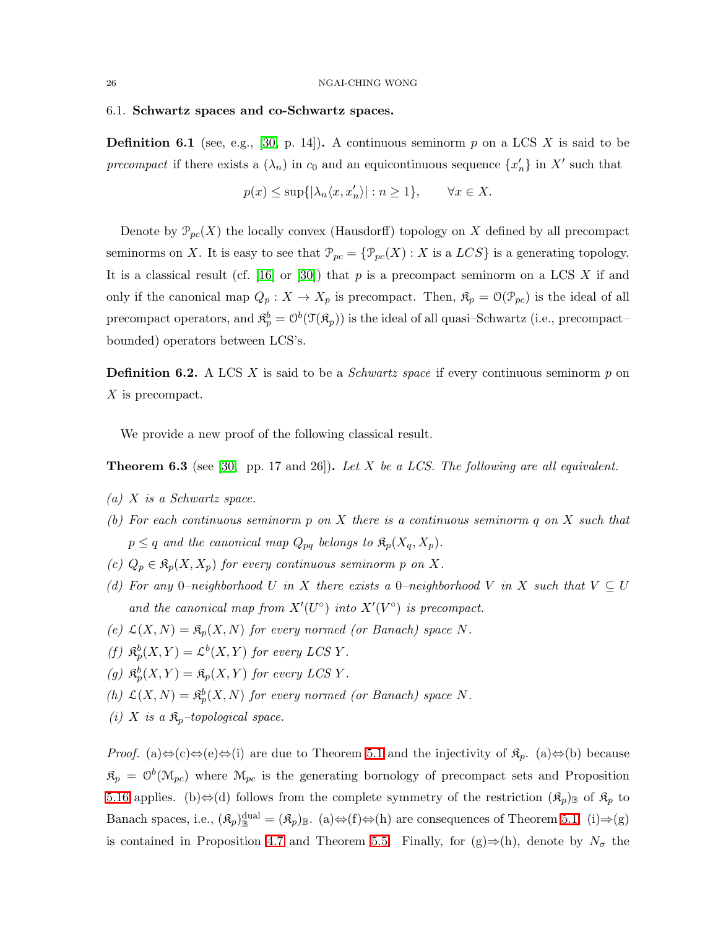## <span id="page-25-0"></span>6.1. Schwartz spaces and co-Schwartz spaces.

**Definition 6.1** (see, e.g., [\[30,](#page-32-9) p. 14]). A continuous seminorm p on a LCS X is said to be *precompact* if there exists a  $(\lambda_n)$  in  $c_0$  and an equicontinuous sequence  $\{x'_n\}$  in X' such that

$$
p(x) \le \sup\{ |\lambda_n \langle x, x'_n \rangle| : n \ge 1 \}, \qquad \forall x \in X.
$$

Denote by  $\mathcal{P}_{pc}(X)$  the locally convex (Hausdorff) topology on X defined by all precompact seminorms on X. It is easy to see that  $\mathcal{P}_{pc} = {\mathcal{P}_{pc}(X) : X \text{ is a } LCS}$  is a generating topology. It is a classical result (cf. [\[16\]](#page-31-11) or [\[30\]](#page-32-9)) that p is a precompact seminorm on a LCS X if and only if the canonical map  $Q_p: X \to X_p$  is precompact. Then,  $\mathfrak{K}_p = \mathfrak{O}(\mathfrak{P}_{pc})$  is the ideal of all precompact operators, and  $\mathfrak{K}_p^b = \mathcal{O}^b(\mathfrak{T}(\mathfrak{K}_p))$  is the ideal of all quasi-Schwartz (i.e., precompactbounded) operators between LCS's.

**Definition 6.2.** A LCS X is said to be a *Schwartz space* if every continuous seminorm p on X is precompact.

We provide a new proof of the following classical result.

<span id="page-25-1"></span>Theorem 6.3 (see [\[30,](#page-32-9) pp. 17 and 26]). *Let* X *be a LCS. The following are all equivalent.*

- *(a)* X *is a Schwartz space.*
- *(b) For each continuous seminorm* p *on* X *there is a continuous seminorm* q *on* X *such that*  $p \leq q$  and the canonical map  $Q_{pq}$  belongs to  $\mathfrak{K}_p(X_q, X_p)$ .
- *(c)*  $Q_p \in \mathfrak{K}_p(X, X_p)$  *for every continuous seminorm p on X.*
- *(d)* For any 0–neighborhood U in X there exists a 0–neighborhood V in X such that  $V \subseteq U$ and the canonical map from  $X'(U^{\circ})$  into  $X'(V^{\circ})$  is precompact.
- (e)  $\mathcal{L}(X, N) = \mathfrak{K}_p(X, N)$  *for every normed (or Banach) space* N.
- (f)  $\mathfrak{K}_p^b(X, Y) = \mathcal{L}^b(X, Y)$  for every LCS Y.
- (g)  $\mathfrak{K}_p^b(X, Y) = \mathfrak{K}_p(X, Y)$  *for every LCSY*.
- (h)  $\mathcal{L}(X, N) = \mathfrak{K}_p^b(X, N)$  *for every normed (or Banach) space* N.
- *(i)* X is a  $\mathfrak{K}_p$ -topological space.

*Proof.* (a)⇔(c)⇔(e)⇔(i) are due to Theorem [5.1](#page-15-1) and the injectivity of  $\mathfrak{K}_p$ . (a)⇔(b) because  $\mathfrak{K}_p = \mathcal{O}^b(\mathcal{M}_{pc})$  where  $\mathcal{M}_{pc}$  is the generating bornology of precompact sets and Proposition [5.16](#page-21-1) applies. (b)⇔(d) follows from the complete symmetry of the restriction  $(\mathfrak{K}_p)$  of  $\mathfrak{K}_p$  to Banach spaces, i.e.,  $(\mathfrak{K}_p)_{\mathbb{R}}^{\text{dual}} = (\mathfrak{K}_p)_{\mathbb{R}}$ . (a) $\Leftrightarrow$  (f) $\Leftrightarrow$  (h) are consequences of Theorem [5.1.](#page-15-1) (i) $\Rightarrow$  (g) is contained in Proposition [4.7](#page-12-1) and Theorem [5.5.](#page-16-1) Finally, for  $(g) \Rightarrow (h)$ , denote by  $N_{\sigma}$  the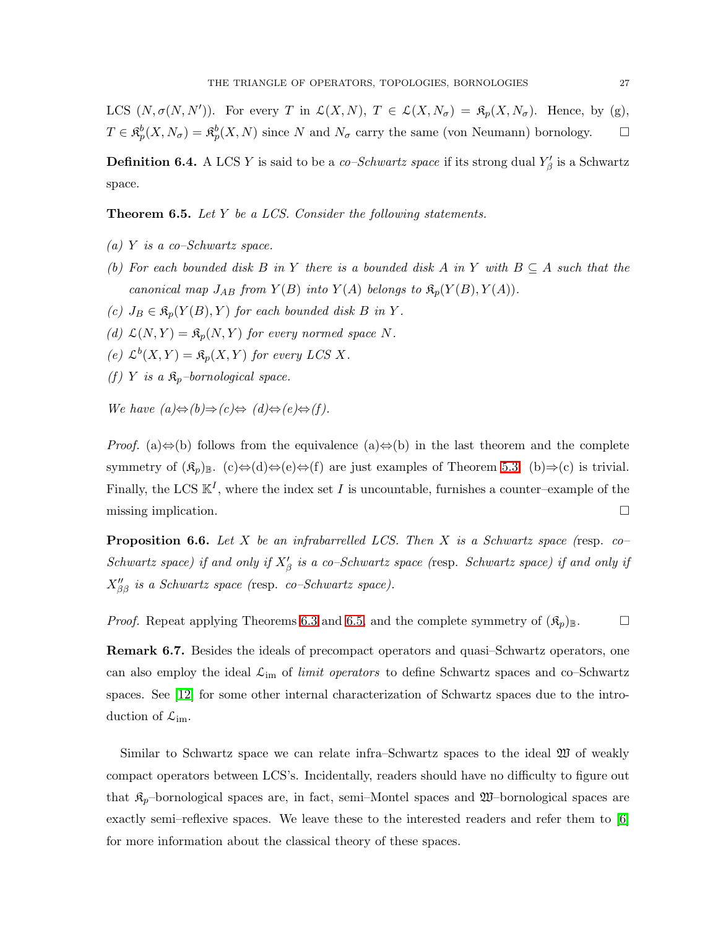LCS  $(N, \sigma(N, N'))$ . For every T in  $\mathcal{L}(X, N)$ ,  $T \in \mathcal{L}(X, N_{\sigma}) = \mathfrak{K}_p(X, N_{\sigma})$ . Hence, by (g),  $T \in \mathfrak{K}_p^b(X, N_\sigma) = \mathfrak{K}_p^b(X, N)$  since N and  $N_\sigma$  carry the same (von Neumann) bornology.  $\Box$ 

<span id="page-26-0"></span>**Definition 6.4.** A LCS Y is said to be a *co–Schwartz space* if its strong dual  $Y'_\beta$  is a Schwartz space.

Theorem 6.5. *Let* Y *be a LCS. Consider the following statements.*

- *(a)* Y *is a co–Schwartz space.*
- *(b)* For each bounded disk B in Y there is a bounded disk A in Y with  $B \subseteq A$  such that the *canonical map*  $J_{AB}$  *from*  $Y(B)$  *into*  $Y(A)$  *belongs to*  $\mathfrak{K}_p(Y(B), Y(A))$ *.*
- $(c)$   $J_B \in \mathfrak{K}_p(Y(B), Y)$  *for each bounded disk B in Y.*
- (d)  $\mathcal{L}(N, Y) = \mathfrak{K}_p(N, Y)$  *for every normed space* N.
- (e)  $\mathcal{L}^b(X, Y) = \mathfrak{K}_p(X, Y)$  *for every LCS X.*
- *(f) Y is a*  $\mathfrak{K}_p$ *–bornological space.*

*We have*  $(a) \Leftrightarrow (b) \Rightarrow (c) \Leftrightarrow (d) \Leftrightarrow (e) \Leftrightarrow (f)$ .

*Proof.* (a)⇔(b) follows from the equivalence (a)⇔(b) in the last theorem and the complete symmetry of  $(\mathfrak{K}_p)_{\mathbb{B}}$ . (c)⇔(d)⇔(e)⇔(f) are just examples of Theorem [5.3.](#page-16-0) (b)⇒(c) is trivial. Finally, the LCS  $\mathbb{K}^I$ , where the index set I is uncountable, furnishes a counter-example of the missing implication.

Proposition 6.6. *Let* X *be an infrabarrelled LCS. Then* X *is a Schwartz space (*resp. *co– Schwartz space)* if and only if  $X'_{\beta}$  is a co–Schwartz space (resp. Schwartz space) if and only if X′′ ββ *is a Schwartz space (*resp. *co–Schwartz space).*

*Proof.* Repeat applying Theorems [6.3](#page-25-1) and [6.5,](#page-26-0) and the complete symmetry of  $(\mathfrak{K}_n)_{\mathbb{B}}$ .

Remark 6.7. Besides the ideals of precompact operators and quasi–Schwartz operators, one can also employ the ideal  $\mathcal{L}_{im}$  of *limit operators* to define Schwartz spaces and co–Schwartz spaces. See [\[12\]](#page-31-15) for some other internal characterization of Schwartz spaces due to the introduction of  $\mathcal{L}_{im}$ .

Similar to Schwartz space we can relate infra–Schwartz spaces to the ideal W of weakly compact operators between LCS's. Incidentally, readers should have no difficulty to figure out that  $\mathfrak{K}_p$ -bornological spaces are, in fact, semi-Montel spaces and  $\mathfrak{W}$ -bornological spaces are exactly semi–reflexive spaces. We leave these to the interested readers and refer them to [\[6\]](#page-31-13) for more information about the classical theory of these spaces.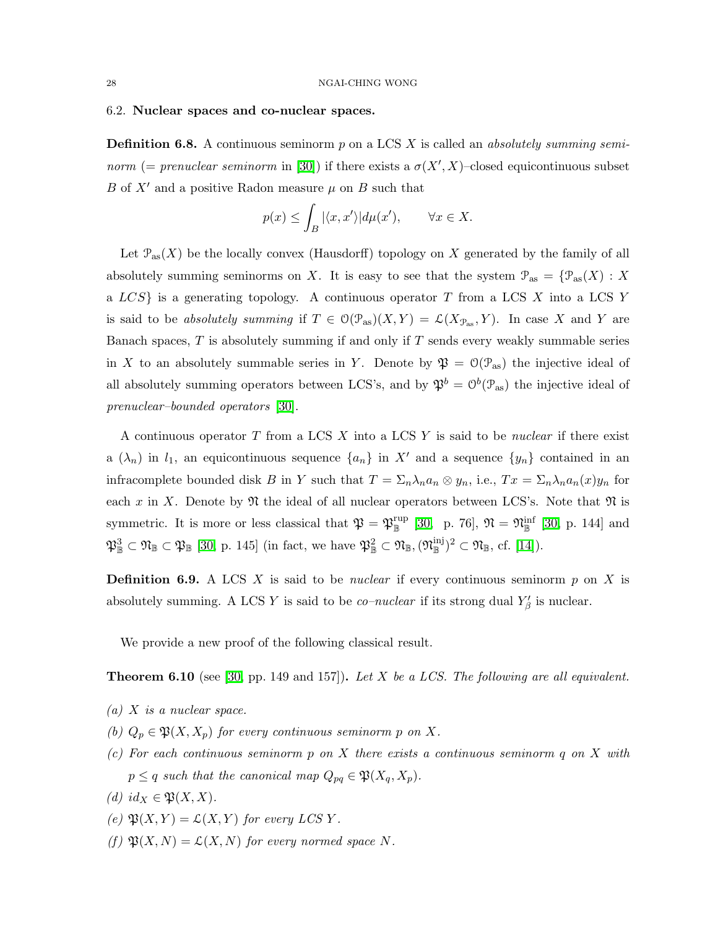## <span id="page-27-0"></span>6.2. Nuclear spaces and co-nuclear spaces.

Definition 6.8. A continuous seminorm p on a LCS X is called an *absolutely summing seminorm* (= *prenuclear seminorm* in [\[30\]](#page-32-9)) if there exists a  $\sigma(X', X)$ -closed equicontinuous subset B of  $X'$  and a positive Radon measure  $\mu$  on B such that

$$
p(x) \le \int_B |\langle x, x' \rangle| d\mu(x'), \qquad \forall x \in X.
$$

Let  $\mathcal{P}_{\text{as}}(X)$  be the locally convex (Hausdorff) topology on X generated by the family of all absolutely summing seminorms on X. It is easy to see that the system  $\mathcal{P}_{\text{as}} = {\mathcal{P}_{\text{as}}(X) : X}$ a  $LCS$  is a generating topology. A continuous operator T from a LCS X into a LCS Y is said to be *absolutely summing* if  $T \in O(\mathcal{P}_{\text{as}})(X, Y) = \mathcal{L}(X_{\mathcal{P}_{\text{as}}}, Y)$ . In case X and Y are Banach spaces,  $T$  is absolutely summing if and only if  $T$  sends every weakly summable series in X to an absolutely summable series in Y. Denote by  $\mathfrak{P} = \mathfrak{O}(\mathcal{P}_{\text{as}})$  the injective ideal of all absolutely summing operators between LCS's, and by  $\mathfrak{P}^b = \mathcal{O}^b(\mathcal{P}_{\text{as}})$  the injective ideal of *prenuclear–bounded operators* [\[30\]](#page-32-9).

A continuous operator T from a LCS X into a LCS Y is said to be *nuclear* if there exist a  $(\lambda_n)$  in  $l_1$ , an equicontinuous sequence  $\{a_n\}$  in X' and a sequence  $\{y_n\}$  contained in an infracomplete bounded disk B in Y such that  $T = \sum_n \lambda_n a_n \otimes y_n$ , i.e.,  $Tx = \sum_n \lambda_n a_n(x) y_n$  for each x in X. Denote by  $\mathfrak N$  the ideal of all nuclear operators between LCS's. Note that  $\mathfrak N$  is symmetric. It is more or less classical that  $\mathfrak{P} = \mathfrak{P}_{\mathbb{R}}^{\text{rup}}$  [\[30,](#page-32-9) p. 76],  $\mathfrak{N} = \mathfrak{N}_{\mathbb{R}}^{\text{inf}}$  [30, p. 144] and  $\mathfrak{P}_{\mathbb{B}}^3 \subset \mathfrak{N}_{\mathbb{B}} \subset \mathfrak{P}_{\mathbb{B}} [30, p. 145]$  $\mathfrak{P}_{\mathbb{B}}^3 \subset \mathfrak{N}_{\mathbb{B}} \subset \mathfrak{P}_{\mathbb{B}} [30, p. 145]$  $\mathfrak{P}_{\mathbb{B}}^3 \subset \mathfrak{N}_{\mathbb{B}} \subset \mathfrak{P}_{\mathbb{B}} [30, p. 145]$  (in fact, we have  $\mathfrak{P}_{\mathbb{B}}^2 \subset \mathfrak{N}_{\mathbb{B}}, (\mathfrak{N}_{\mathbb{B}}^{\text{inj}})^2 \subset \mathfrak{N}_{\mathbb{B}}, \text{ cf. } [14]).$  $\mathfrak{P}_{\mathbb{B}}^2 \subset \mathfrak{N}_{\mathbb{B}}, (\mathfrak{N}_{\mathbb{B}}^{\text{inj}})^2 \subset \mathfrak{N}_{\mathbb{B}}, \text{ cf. } [14]).$  $\mathfrak{P}_{\mathbb{B}}^2 \subset \mathfrak{N}_{\mathbb{B}}, (\mathfrak{N}_{\mathbb{B}}^{\text{inj}})^2 \subset \mathfrak{N}_{\mathbb{B}}, \text{ cf. } [14]).$ 

**Definition 6.9.** A LCS  $X$  is said to be *nuclear* if every continuous seminorm  $p$  on  $X$  is absolutely summing. A LCS Y is said to be *co–nuclear* if its strong dual  $Y'_{\beta}$  is nuclear.

We provide a new proof of the following classical result.

<span id="page-27-1"></span>Theorem 6.10 (see [\[30,](#page-32-9) pp. 149 and 157]). *Let* X *be a LCS. The following are all equivalent.*

- *(a)* X *is a nuclear space.*
- *(b)*  $Q_p \in \mathfrak{P}(X, X_p)$  *for every continuous seminorm p on X.*
- *(c) For each continuous seminorm* p *on* X *there exists a continuous seminorm* q *on* X *with*  $p \leq q$  such that the canonical map  $Q_{pq} \in \mathfrak{P}(X_q, X_p)$ .
- *(d)*  $id_X \in \mathfrak{P}(X,X)$ .
- *(e)*  $\mathfrak{P}(X, Y) = \mathcal{L}(X, Y)$  *for every LCSY*.
- *(f)*  $\mathfrak{P}(X, N) = \mathcal{L}(X, N)$  *for every normed space* N.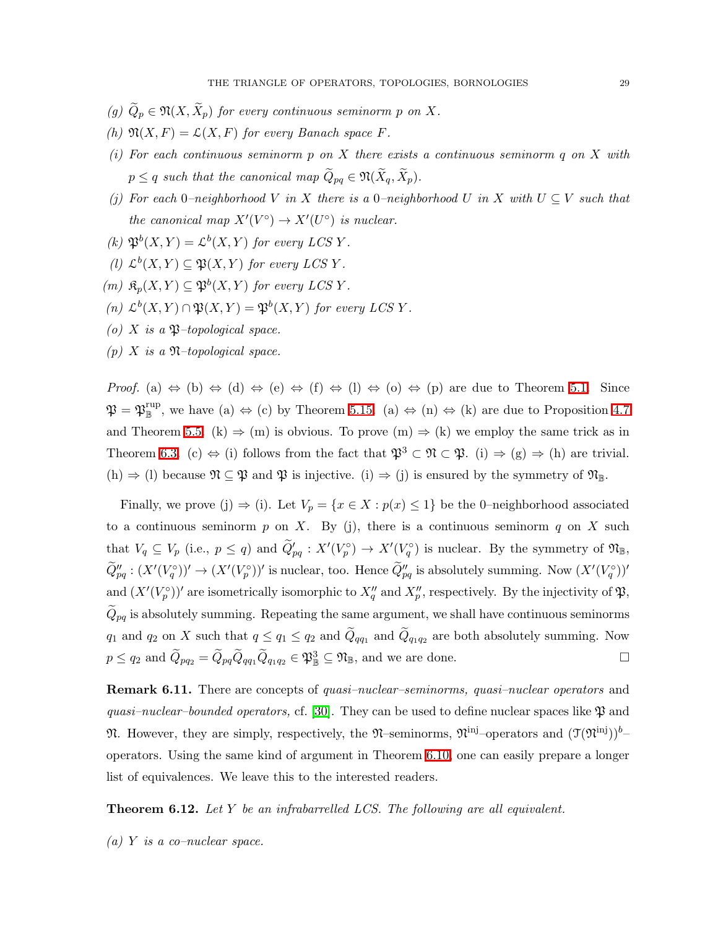- *(g)*  $\widetilde{Q}_p \in \mathfrak{N}(X, \widetilde{X}_p)$  *for every continuous seminorm p on* X.
- *(h)*  $\mathfrak{N}(X,F) = \mathcal{L}(X,F)$  *for every Banach space* F.
- *(i) For each continuous seminorm* p *on* X *there exists a continuous seminorm* q *on* X *with*  $p \leq q$  such that the canonical map  $\widetilde{Q}_{pq} \in \mathfrak{N}(\widetilde{X}_q, \widetilde{X}_p)$ .
- *(j) For each* 0*–neighborhood* V *in* X *there is a* 0*–neighborhood* U *in* X *with* U ⊆ V *such that the canonical map*  $X'(V^{\circ}) \to X'(U^{\circ})$  *is nuclear.*
- (k)  $\mathfrak{P}^b(X,Y) = \mathcal{L}^b(X,Y)$  *for every LCSY*.
- (*l*)  $\mathcal{L}^b(X, Y) \subseteq \mathfrak{P}(X, Y)$  *for every LCSY*.
- $(m)$   $\mathfrak{K}_p(X,Y) \subseteq \mathfrak{P}^b(X,Y)$  *for every LCSY*.
- $(n)$   $\mathcal{L}^{b}(X, Y) \cap \mathfrak{P}(X, Y) = \mathfrak{P}^{b}(X, Y)$  *for every LCSY*.
- *(o)*  $X$  *is a*  $\mathfrak{P}-topological space.$
- *(p)* X *is a* N*–topological space.*

*Proof.* (a)  $\Leftrightarrow$  (b)  $\Leftrightarrow$  (d)  $\Leftrightarrow$  (e)  $\Leftrightarrow$  (f)  $\Leftrightarrow$  (l)  $\Leftrightarrow$  (o)  $\Leftrightarrow$  (p) are due to Theorem [5.1.](#page-15-1) Since  $\mathfrak{P} = \mathfrak{P}_{\mathbb{B}}^{\text{rup}}$ , we have (a)  $\Leftrightarrow$  (c) by Theorem [5.15.](#page-20-1) (a)  $\Leftrightarrow$  (n)  $\Leftrightarrow$  (k) are due to Proposition [4.7](#page-12-1) and Theorem [5.5.](#page-16-1) (k)  $\Rightarrow$  (m) is obvious. To prove (m)  $\Rightarrow$  (k) we employ the same trick as in Theorem [6.3.](#page-25-1) (c)  $\Leftrightarrow$  (i) follows from the fact that  $\mathfrak{P}^3 \subset \mathfrak{N} \subset \mathfrak{P}$ . (i)  $\Rightarrow$  (g)  $\Rightarrow$  (h) are trivial. (h)  $\Rightarrow$  (l) because  $\mathfrak{N} \subseteq \mathfrak{P}$  and  $\mathfrak{P}$  is injective. (i)  $\Rightarrow$  (j) is ensured by the symmetry of  $\mathfrak{N}_{\mathbb{B}}$ .

Finally, we prove (j)  $\Rightarrow$  (i). Let  $V_p = \{x \in X : p(x) \leq 1\}$  be the 0-neighborhood associated to a continuous seminorm p on X. By (j), there is a continuous seminorm q on X such that  $V_q \subseteq V_p$  (i.e.,  $p \le q$ ) and  $\widetilde{Q}'_{pq} : X'(V_p^{\circ}) \to X'(V_q^{\circ})$  is nuclear. By the symmetry of  $\mathfrak{N}_{\mathbb{B}},$  $\widetilde{Q}''_{pq} : (X'(V_q^{\circ}))' \to (X'(V_p^{\circ}))'$  is nuclear, too. Hence  $\widetilde{Q}''_{pq}$  is absolutely summing. Now  $(X'(V_q^{\circ}))'$ and  $(X'(V_p^{\circ}))'$  are isometrically isomorphic to  $X''_q$  and  $X''_p$ , respectively. By the injectivity of  $\mathfrak{P},$  $\widetilde{Q}_{pq}$  is absolutely summing. Repeating the same argument, we shall have continuous seminorms  $q_1$  and  $q_2$  on X such that  $q \leq q_1 \leq q_2$  and  $Q_{qq_1}$  and  $Q_{q_1q_2}$  are both absolutely summing. Now  $p \leq q_2$  and  $\widetilde{Q}_{pq_2} = \widetilde{Q}_{pq} \widetilde{Q}_{qq_1} \widetilde{Q}_{q_1q_2} \in \mathfrak{P}_{\mathbb{B}}^3 \subseteq \mathfrak{N}_{\mathbb{B}}$ , and we are done.

Remark 6.11. There are concepts of *quasi–nuclear–seminorms, quasi–nuclear operators* and *quasi–nuclear–bounded operators,* cf. [\[30\]](#page-32-9). They can be used to define nuclear spaces like  $\mathfrak{P}$  and  $\mathfrak{N}$ . However, they are simply, respectively, the  $\mathfrak{N}$ -seminorms,  $\mathfrak{N}^{\text{inj}}$ -operators and  $(\mathfrak{I}(\mathfrak{N}^{\text{inj}}))$ <sup>b</sup>operators. Using the same kind of argument in Theorem [6.10,](#page-27-1) one can easily prepare a longer list of equivalences. We leave this to the interested readers.

Theorem 6.12. *Let* Y *be an infrabarrelled LCS. The following are all equivalent.*

*(a)* Y *is a co–nuclear space.*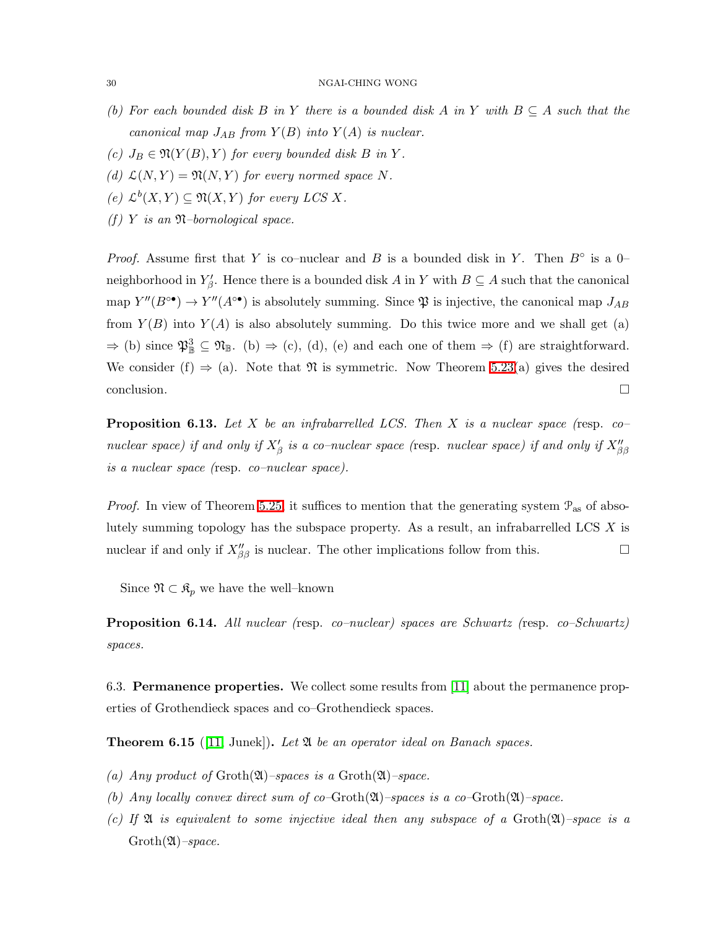- *(b) For each bounded disk* B *in* Y *there is a bounded disk* A *in* Y *with* B ⊆ A *such that the canonical map*  $J_{AB}$  *from*  $Y(B)$  *into*  $Y(A)$  *is nuclear.*
- *(c)*  $J_B \in \mathfrak{N}(Y(B), Y)$  *for every bounded disk B in Y.*
- (d)  $\mathcal{L}(N, Y) = \mathfrak{N}(N, Y)$  *for every normed space* N.
- $(e)$   $\mathcal{L}^{b}(X, Y) \subseteq \mathfrak{N}(X, Y)$  *for every LCS* X.
- *(f)* Y *is an* N*–bornological space.*

*Proof.* Assume first that Y is co–nuclear and B is a bounded disk in Y. Then  $B^\circ$  is a 0– neighborhood in  $Y_{\beta}'$ . Hence there is a bounded disk A in Y with  $B \subseteq A$  such that the canonical map  $Y''(B^{\circ\bullet}) \to Y''(A^{\circ\bullet})$  is absolutely summing. Since  $\mathfrak P$  is injective, the canonical map  $J_{AB}$ from  $Y(B)$  into  $Y(A)$  is also absolutely summing. Do this twice more and we shall get (a)  $\Rightarrow$  (b) since  $\mathfrak{P}_{\mathbb{B}}^3 \subseteq \mathfrak{N}_{\mathbb{B}}$ . (b)  $\Rightarrow$  (c), (d), (e) and each one of them  $\Rightarrow$  (f) are straightforward. We consider (f)  $\Rightarrow$  (a). Note that  $\Re$  is symmetric. Now Theorem [5.23\(](#page-22-1)a) gives the desired  $\Box$ conclusion.

Proposition 6.13. *Let* X *be an infrabarrelled LCS. Then* X *is a nuclear space (*resp. *co– nuclear space) if and only if*  $X'_{\beta}$  *is a co–nuclear space (resp. nuclear space) if and only if*  $X''_{\beta\beta}$ *is a nuclear space (*resp. *co–nuclear space).*

*Proof.* In view of Theorem [5.25,](#page-23-0) it suffices to mention that the generating system  $\mathcal{P}_{\text{as}}$  of absolutely summing topology has the subspace property. As a result, an infrabarrelled LCS X is nuclear if and only if  $X''_{\beta\beta}$  is nuclear. The other implications follow from this.

Since  $\mathfrak{N} \subset \mathfrak{K}_p$  we have the well–known

<span id="page-29-0"></span>Proposition 6.14. *All nuclear (*resp. *co–nuclear) spaces are Schwartz (*resp. *co–Schwartz) spaces.*

6.3. Permanence properties. We collect some results from [\[11\]](#page-31-3) about the permanence properties of Grothendieck spaces and co–Grothendieck spaces.

Theorem 6.15 ([\[11,](#page-31-3) Junek]). *Let* A *be an operator ideal on Banach spaces.*

- *(a)* Any product of  $Groth(\mathfrak{A})$ –spaces is a  $Groth(\mathfrak{A})$ –space.
- *(b) Any locally convex direct sum of co–*Groth(A)*–spaces is a co–*Groth(A)*–space.*
- *(c) If* A *is equivalent to some injective ideal then any subspace of a* Groth(A)*–space is a* Groth(A)*–space.*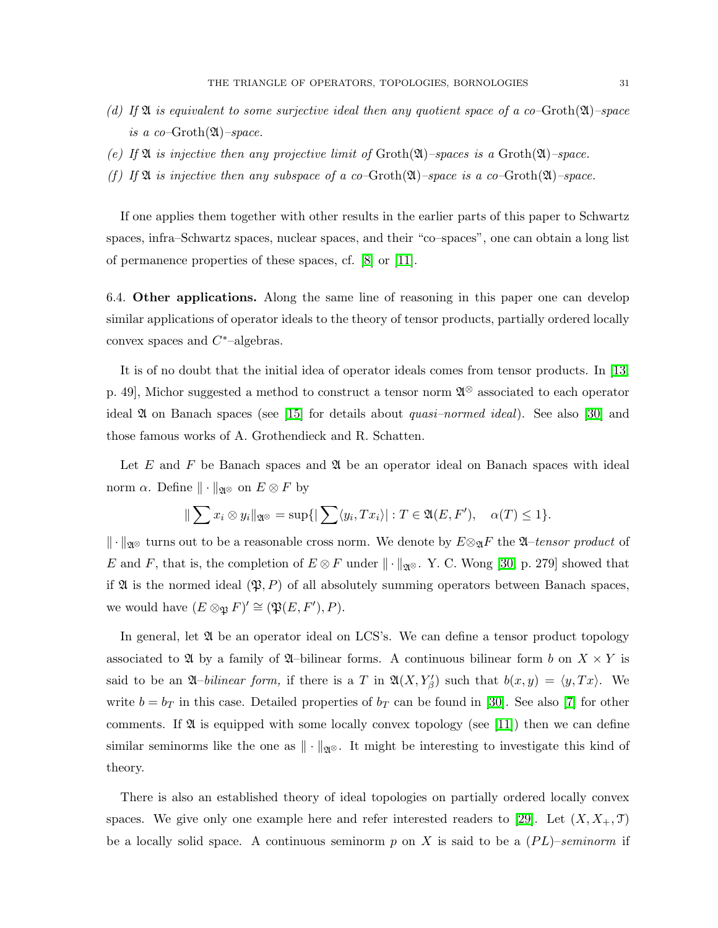- *(d) If* A *is equivalent to some surjective ideal then any quotient space of a co–*Groth(A)*–space is a co–*Groth(A)*–space.*
- *(e) If* A *is injective then any projective limit of* Groth(A)*–spaces is a* Groth(A)*–space.*
- *(f)* If  $\mathfrak A$  *is injective then any subspace of a co–Groth(* $\mathfrak A$ *)–space is a co–Groth(* $\mathfrak A$ *)–space.*

If one applies them together with other results in the earlier parts of this paper to Schwartz spaces, infra–Schwartz spaces, nuclear spaces, and their "co–spaces", one can obtain a long list of permanence properties of these spaces, cf. [\[8\]](#page-31-4) or [\[11\]](#page-31-3).

<span id="page-30-0"></span>6.4. Other applications. Along the same line of reasoning in this paper one can develop similar applications of operator ideals to the theory of tensor products, partially ordered locally convex spaces and  $C^*$ -algebras.

It is of no doubt that the initial idea of operator ideals comes from tensor products. In [\[13,](#page-31-7) p. 49], Michor suggested a method to construct a tensor norm  $\mathfrak{A}^{\otimes}$  associated to each operator ideal A on Banach spaces (see [\[15\]](#page-31-2) for details about *quasi–normed ideal*). See also [\[30\]](#page-32-9) and those famous works of A. Grothendieck and R. Schatten.

Let  $E$  and  $F$  be Banach spaces and  $\mathfrak A$  be an operator ideal on Banach spaces with ideal norm  $\alpha$ . Define  $\|\cdot\|_{\mathfrak{A}^{\otimes}}$  on  $E\otimes F$  by

$$
\|\sum x_i \otimes y_i\|_{\mathfrak{A}^{\otimes}} = \sup\{|\sum \langle y_i, Tx_i\rangle| : T \in \mathfrak{A}(E, F'), \quad \alpha(T) \le 1\}.
$$

k · kA<sup>⊗</sup> turns out to be a reasonable cross norm. We denote by E⊗AF the A–*tensor product* of E and F, that is, the completion of  $E \otimes F$  under  $\|\cdot\|_{\mathfrak{A}^{\otimes}}$ . Y. C. Wong [\[30,](#page-32-9) p. 279] showed that if  $\mathfrak A$  is the normed ideal  $(\mathfrak P, P)$  of all absolutely summing operators between Banach spaces, we would have  $(E \otimes_{\mathfrak{P}} F)' \cong (\mathfrak{P}(E, F'), P)$ .

In general, let  $\mathfrak A$  be an operator ideal on LCS's. We can define a tensor product topology associated to  $\mathfrak A$  by a family of  $\mathfrak A$ –bilinear forms. A continuous bilinear form b on  $X \times Y$  is said to be an  $\mathfrak{A}$ -*bilinear form*, if there is a T in  $\mathfrak{A}(X, Y_{\beta}')$  such that  $b(x, y) = \langle y, Tx \rangle$ . We write  $b = b_T$  in this case. Detailed properties of  $b_T$  can be found in [\[30\]](#page-32-9). See also [\[7\]](#page-31-17) for other comments. If  $\mathfrak A$  is equipped with some locally convex topology (see [\[11\]](#page-31-3)) then we can define similar seminorms like the one as  $\|\cdot\|_{\mathfrak{A}^{\otimes}}$ . It might be interesting to investigate this kind of theory.

There is also an established theory of ideal topologies on partially ordered locally convex spaces. We give only one example here and refer interested readers to [\[29\]](#page-32-8). Let  $(X, X_+, \mathcal{T})$ be a locally solid space. A continuous seminorm  $p$  on X is said to be a  $(PL)$ –*seminorm* if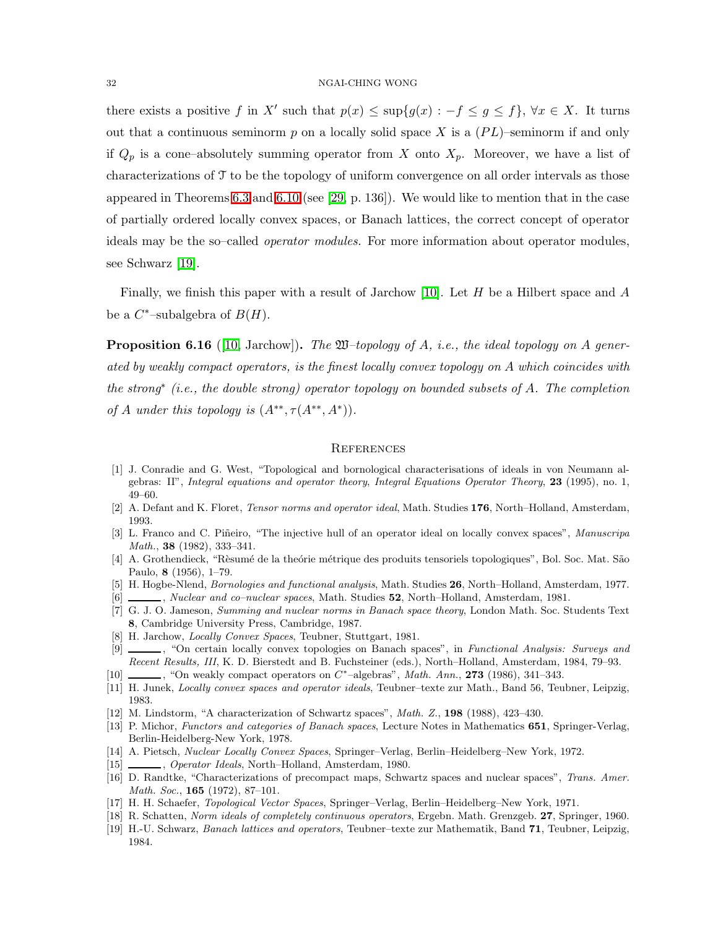there exists a positive f in X' such that  $p(x) \leq \sup\{g(x) : -f \leq g \leq f\}, \forall x \in X$ . It turns out that a continuous seminorm p on a locally solid space X is a  $(PL)$ –seminorm if and only if  $Q_p$  is a cone–absolutely summing operator from X onto  $X_p$ . Moreover, we have a list of characterizations of T to be the topology of uniform convergence on all order intervals as those appeared in Theorems [6.3](#page-25-1) and [6.10](#page-27-1) (see [\[29,](#page-32-8) p. 136]). We would like to mention that in the case of partially ordered locally convex spaces, or Banach lattices, the correct concept of operator ideals may be the so–called *operator modules.* For more information about operator modules, see Schwarz [\[19\]](#page-31-18).

Finally, we finish this paper with a result of Jarchow [\[10\]](#page-31-19). Let  $H$  be a Hilbert space and  $A$ be a  $C^*$ -subalgebra of  $B(H)$ .

Proposition 6.16 ([\[10,](#page-31-19) Jarchow]). *The* W*–topology of* A*, i.e., the ideal topology on* A *generated by weakly compact operators, is the finest locally convex topology on* A *which coincides with the strong*<sup>∗</sup> *(i.e., the double strong) operator topology on bounded subsets of* A*. The completion of A under this topology is*  $(A^{**}, \tau(A^{**}, A^*))$ *.* 

## **REFERENCES**

- <span id="page-31-10"></span><span id="page-31-0"></span>[1] J. Conradie and G. West, "Topological and bornological characterisations of ideals in von Neumann algebras: II", *Integral equations and operator theory*, *Integral Equations Operator Theory*, 23 (1995), no. 1, 49–60.
- <span id="page-31-9"></span><span id="page-31-8"></span>[2] A. Defant and K. Floret, *Tensor norms and operator ideal*, Math. Studies 176, North–Holland, Amsterdam, 1993.
- [3] L. Franco and C. Piñeiro, "The injective hull of an operator ideal on locally convex spaces", *Manuscripa Math.*, 38 (1982), 333–341.
- <span id="page-31-5"></span>[4] A. Grothendieck, "Rèsumé de la theórie métrique des produits tensoriels topologiques", Bol. Soc. Mat. São Paulo, 8 (1956), 1–79.
- <span id="page-31-13"></span><span id="page-31-12"></span>[5] H. Hogbe-Nlend, *Bornologies and functional analysis*, Math. Studies 26, North–Holland, Amsterdam, 1977.
- [6] , *Nuclear and co–nuclear spaces*, Math. Studies 52, North–Holland, Amsterdam, 1981.
- <span id="page-31-17"></span>[7] G. J. O. Jameson, *Summing and nuclear norms in Banach space theory*, London Math. Soc. Students Text 8, Cambridge University Press, Cambridge, 1987.
- <span id="page-31-4"></span>[8] H. Jarchow, *Locally Convex Spaces*, Teubner, Stuttgart, 1981.
- <span id="page-31-14"></span>[9] , "On certain locally convex topologies on Banach spaces", in *Functional Analysis: Surveys and Recent Results, III*, K. D. Bierstedt and B. Fuchsteiner (eds.), North–Holland, Amsterdam, 1984, 79–93.
- <span id="page-31-19"></span>[10] , "On weakly compact operators on  $C^*$ -algebras", *Math. Ann.*, **273** (1986), 341-343.
- <span id="page-31-15"></span><span id="page-31-3"></span>[11] H. Junek, *Locally convex spaces and operator ideals*, Teubner–texte zur Math., Band 56, Teubner, Leipzig, 1983.
- <span id="page-31-7"></span>[12] M. Lindstorm, "A characterization of Schwartz spaces", *Math. Z.*, 198 (1988), 423–430.
- [13] P. Michor, *Functors and categories of Banach spaces*, Lecture Notes in Mathematics 651, Springer-Verlag, Berlin-Heidelberg-New York, 1978.
- <span id="page-31-16"></span><span id="page-31-2"></span>[14] A. Pietsch, *Nuclear Locally Convex Spaces*, Springer–Verlag, Berlin–Heidelberg–New York, 1972.
- <span id="page-31-11"></span>[15] , *Operator Ideals*, North–Holland, Amsterdam, 1980.
- [16] D. Randtke, "Characterizations of precompact maps, Schwartz spaces and nuclear spaces", *Trans. Amer. Math. Soc.*, 165 (1972), 87–101.
- <span id="page-31-6"></span><span id="page-31-1"></span>[17] H. H. Schaefer, *Topological Vector Spaces*, Springer–Verlag, Berlin–Heidelberg–New York, 1971.
- [18] R. Schatten, *Norm ideals of completely continuous operators*, Ergebn. Math. Grenzgeb. 27, Springer, 1960.
- <span id="page-31-18"></span>[19] H.-U. Schwarz, *Banach lattices and operators*, Teubner–texte zur Mathematik, Band 71, Teubner, Leipzig, 1984.